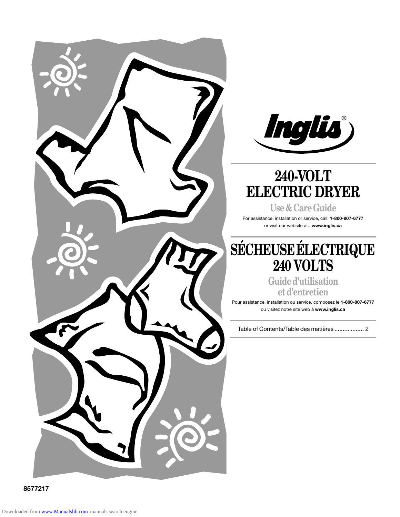



# **240-VOLT ELECTRIC DRYER**

**Use & Care Guide** For assistance, installation or service, call: **1-800-807-6777** or visit our website at...**www.inglis.ca**

# **SÉCHEUSE ÉLECTRIQUE 240 VOLTS**

**Guide d'utilisation et d'entretien**

Pour assistance, installation ou service, composez le **1-800-807-6777** ou visitez notre site web à **www.inglis.ca**

Table of Contents/Table des matières .................. 2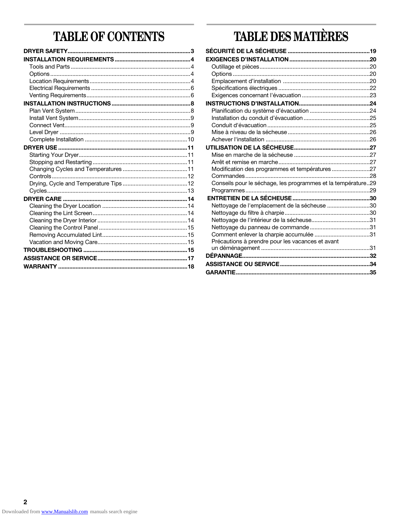# **TABLE OF CONTENTS**

# **TABLE DES MATIÈRES**

| Modification des programmes et températures 27               |  |
|--------------------------------------------------------------|--|
|                                                              |  |
| Conseils pour le séchage, les programmes et la température29 |  |
|                                                              |  |
|                                                              |  |
| Nettoyage de l'emplacement de la sécheuse 30                 |  |
|                                                              |  |
|                                                              |  |
|                                                              |  |
|                                                              |  |
| Précautions à prendre pour les vacances et avant             |  |
|                                                              |  |
|                                                              |  |
|                                                              |  |
|                                                              |  |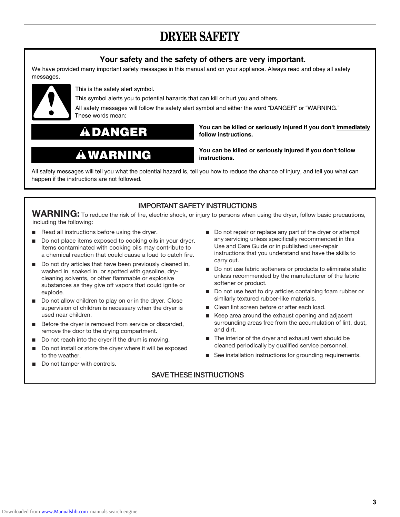# **DRYER SAFETY**

### **Your safety and the safety of others are very important.**

We have provided many important safety messages in this manual and on your appliance. Always read and obey all safety messages.



This is the safety alert symbol.

This symbol alerts you to potential hazards that can kill or hurt you and others.

All safety messages will follow the safety alert symbol and either the word "DANGER" or "WARNING." These words mean:

**DANGER**

# **WARNING**

**You can be killed or seriously injured if you don't immediately follow instructions.**

**You can be killed or seriously injured if you don't follow instructions.**

All safety messages will tell you what the potential hazard is, tell you how to reduce the chance of injury, and tell you what can happen if the instructions are not followed.

### **IMPORTANT SAFETY INSTRUCTIONS**

WARNING: To reduce the risk of fire, electric shock, or injury to persons when using the dryer, follow basic precautions, including the following:

- Read all instructions before using the dryer.
- Do not place items exposed to cooking oils in your dryer. Items contaminated with cooking oils may contribute to a chemical reaction that could cause a load to catch fire.
- Do not dry articles that have been previously cleaned in, washed in, soaked in, or spotted with gasoline, drycleaning solvents, or other flammable or explosive substances as they give off vapors that could ignite or explode.
- Do not allow children to play on or in the dryer. Close supervision of children is necessary when the dryer is used near children.
- Before the dryer is removed from service or discarded, remove the door to the drying compartment.
- Do not reach into the dryer if the drum is moving.
- to the weather.
- Do not tamper with controls.
- Do not repair or replace any part of the dryer or attempt any servicing unless specifically recommended in this Use and Care Guide or in published user-repair instructions that you understand and have the skills to carry out.
- Do not use fabric softeners or products to eliminate static unless recommended by the manufacturer of the fabric softener or product.
- Do not use heat to dry articles containing foam rubber or similarly textured rubber-like materials.
- Clean lint screen before or after each load.
- Keep area around the exhaust opening and adjacent surrounding areas free from the accumulation of lint, dust, and dirt.
- The interior of the dryer and exhaust vent should be Do not install or store the dryer where it will be exposed cleaned periodically by qualified service personnel.
	- See installation instructions for grounding requirements.

### **SAVE THESE INSTRUCTIONS**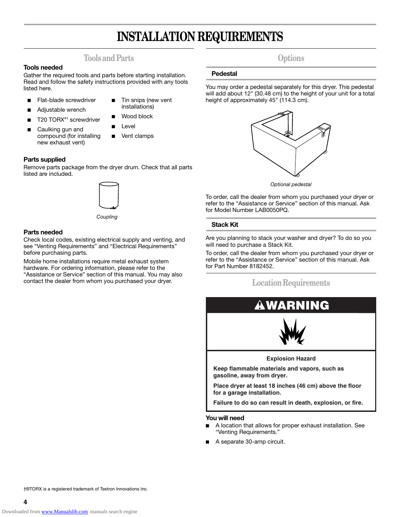# **INSTALLATION REQUIREMENTS**

### **Tools and Parts**

#### **Tools needed**

Gather the required tools and parts before starting installation. Read and follow the safety instructions provided with any tools listed here.

- Flat-blade screwdriver
- Tin snips (new vent installations)
- Adjustable wrench T20 TORX®<sup>†</sup> screwdriver
	-
- Caulking gun and compound (for installing new exhaust vent)
- **Level**

Wood block

Vent clamps

#### **Parts supplied**

Remove parts package from the dryer drum. Check that all parts listed are included.



*Coupling* 

#### **Parts needed**

Check local codes, existing electrical supply and venting, and see "Venting Requirements" and "Electrical Requirements" before purchasing parts.

Mobile home installations require metal exhaust system hardware. For ordering information, please refer to the "Assistance or Service" section of this manual. You may also contact the dealer from whom you purchased your dryer.

## **Options**

#### **Pedestal**

You may order a pedestal separately for this dryer. This pedestal will add about 12" (30.48 cm) to the height of your unit for a total height of approximately 45" (114.3 cm).



*Optional pedestal*

To order, call the dealer from whom you purchased your dryer or refer to the "Assistance or Service" section of this manual. Ask for Model Number LAB0050PQ.

#### **Stack Kit**

Are you planning to stack your washer and dryer? To do so you will need to purchase a Stack Kit.

To order, call the dealer from whom you purchased your dryer or refer to the "Assistance or Service" section of this manual. Ask for Part Number 8182452.

## **Location Requirements**



**Explosion Hazard**

**Keep flammable materials and vapors, such as gasoline, away from dryer.**

**Place dryer at least 18 inches (46 cm) above the floor for a garage installation.**

**Failure to do so can result in death, explosion, or fire.**

#### **You will need**

- A location that allows for proper exhaust installation. See "Venting Requirements."
- A separate 30-amp circuit.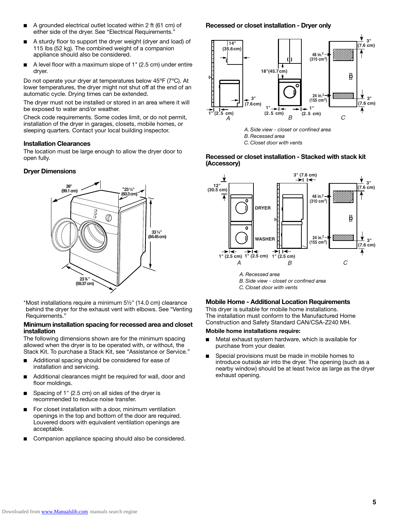- A grounded electrical outlet located within 2 ft (61 cm) of either side of the dryer. See "Electrical Requirements."
- A sturdy floor to support the dryer weight (dryer and load) of 115 lbs (52 kg). The combined weight of a companion appliance should also be considered.
- A level floor with a maximum slope of 1" (2.5 cm) under entire dryer.

Do not operate your dryer at temperatures below 45ºF (7ºC). At lower temperatures, the dryer might not shut off at the end of an automatic cycle. Drying times can be extended.

The dryer must not be installed or stored in an area where it will be exposed to water and/or weather.

Check code requirements. Some codes limit, or do not permit, installation of the dryer in garages, closets, mobile homes, or sleeping quarters. Contact your local building inspector.

#### **Installation Clearances**

The location must be large enough to allow the dryer door to open fully.

#### **Dryer Dimensions**



\*Most installations require a minimum 5½" (14.0 cm) clearance behind the dryer for the exhaust vent with elbows. See "Venting Requirements."

#### **Minimum installation spacing for recessed area and closet installation**

The following dimensions shown are for the minimum spacing allowed when the dryer is to be operated with, or without, the Stack Kit. To purchase a Stack Kit, see "Assistance or Service."

- Additional spacing should be considered for ease of installation and servicing.
- Additional clearances might be required for wall, door and floor moldings.
- Spacing of 1" (2.5 cm) on all sides of the drver is recommended to reduce noise transfer.
- For closet installation with a door, minimum ventilation openings in the top and bottom of the door are required. Louvered doors with equivalent ventilation openings are acceptable.
- Companion appliance spacing should also be considered.

#### **Recessed or closet installation - Dryer only**





**Recessed or closet installation - Stacked with stack kit (Accessory)**



*B. Side view - closet or confined area*

*C. Closet door with vents*

#### **Mobile Home - Additional Location Requirements**

This dryer is suitable for mobile home installations. The installation must conform to the Manufactured Home Construction and Safety Standard CAN/CSA-Z240 MH.

#### **Mobile home installations require:**

- Metal exhaust system hardware, which is available for purchase from your dealer.
- Special provisions must be made in mobile homes to introduce outside air into the dryer. The opening (such as a nearby window) should be at least twice as large as the dryer exhaust opening.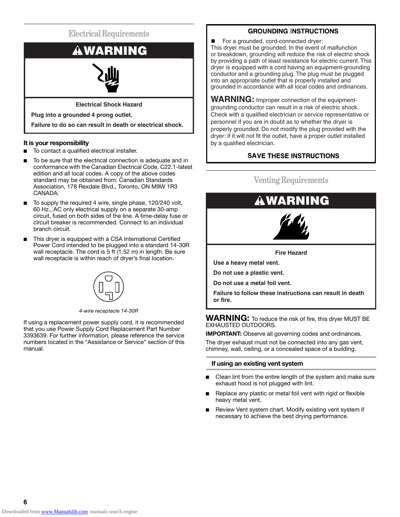**Electrical Requirements**



**Electrical Shock Hazard**

**Plug into a grounded 4 prong outlet.**

**Failure to do so can result in death or electrical shock.**

#### **It is your responsibility**

- To contact a qualified electrical installer.
- To be sure that the electrical connection is adequate and in conformance with the Canadian Electrical Code, C22.1-latest edition and all local codes. A copy of the above codes standard may be obtained from: Canadian Standards Association, 178 Rexdale Blvd., Toronto, ON M9W 1R3 CANADA.
- To supply the required 4 wire, single phase, 120/240 volt, 60 Hz., AC only electrical supply on a separate 30-amp circuit, fused on both sides of the line. A time-delay fuse or circuit breaker is recommended. Connect to an individual branch circuit.
- This dryer is equipped with a CSA International Certified Power Cord intended to be plugged into a standard 14-30R wall receptacle. The cord is 5 ft (1.52 m) in length. Be sure wall receptacle is within reach of dryer's final location.



*4-wire receptacle 14-30R*

If using a replacement power supply cord, it is recommended that you use Power Supply Cord Replacement Part Number 3393639. For further information, please reference the service numbers located in the "Assistance or Service" section of this manual.

### **GROUNDING INSTRUCTIONS**

For a grounded, cord-connected dryer:

This dryer must be grounded. In the event of malfunction or breakdown, grounding will reduce the risk of electric shock by providing a path of least resistance for electric current. This dryer is equipped with a cord having an equipment-grounding conductor and a grounding plug. The plug must be plugged into an appropriate outlet that is properly installed and grounded in accordance with all local codes and ordinances.

**WARNING:** Improper connection of the equipmentgrounding conductor can result in a risk of electric shock. Check with a qualified electrician or service representative or personnel if you are in doubt as to whether the dryer is properly grounded. Do not modify the plug provided with the dryer: if it will not fit the outlet, have a proper outlet installed by a qualified electrician.

### **SAVE THESE INSTRUCTIONS**

## **Venting Requirements**



**Failure to follow these instructions can result in death or fire.**

#### **WARNING:** To reduce the risk of fire, this dryer MUST BE EXHAUSTED OUTDOORS.

**IMPORTANT:** Observe all governing codes and ordinances. The dryer exhaust must not be connected into any gas vent, chimney, wall, ceiling, or a concealed space of a building.

#### **If using an existing vent system**

- Clean lint from the entire length of the system and make sure exhaust hood is not plugged with lint.
- Replace any plastic or metal foil vent with rigid or flexible heavy metal vent.
- Review Vent system chart. Modify existing vent system if necessary to achieve the best drying performance.

**6**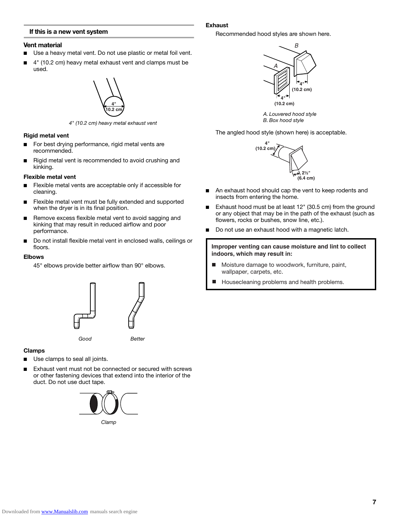#### **If this is a new vent system**

#### **Vent material**

- Use a heavy metal vent. Do not use plastic or metal foil vent.
- 4" (10.2 cm) heavy metal exhaust vent and clamps must be used.



*4" (10.2 cm) heavy metal exhaust vent*

#### **Rigid metal vent**

- For best drying performance, rigid metal vents are recommended.
- Rigid metal vent is recommended to avoid crushing and kinking.

#### **Flexible metal vent**

- Flexible metal vents are acceptable only if accessible for cleaning.
- Flexible metal vent must be fully extended and supported when the dryer is in its final position.
- Remove excess flexible metal vent to avoid sagging and kinking that may result in reduced airflow and poor performance.
- Do not install flexible metal vent in enclosed walls, ceilings or floors.

#### **Elbows**

45° elbows provide better airflow than 90° elbows.



#### **Clamps**

- Use clamps to seal all joints.
- Exhaust vent must not be connected or secured with screws or other fastening devices that extend into the interior of the duct. Do not use duct tape.



#### **Exhaust**

Recommended hood styles are shown here.



*A. Louvered hood style B. Box hood style*

The angled hood style (shown here) is acceptable.



- An exhaust hood should cap the vent to keep rodents and insects from entering the home.
- Exhaust hood must be at least 12" (30.5 cm) from the ground or any object that may be in the path of the exhaust (such as flowers, rocks or bushes, snow line, etc.).
- Do not use an exhaust hood with a magnetic latch.

**Improper venting can cause moisture and lint to collect indoors, which may result in:**

- $\blacksquare$ Moisture damage to woodwork, furniture, paint, wallpaper, carpets, etc.
- Housecleaning problems and health problems. П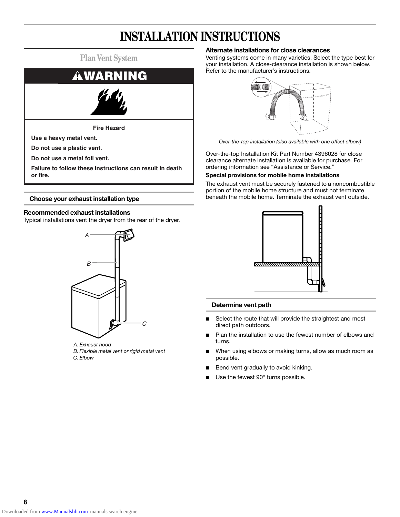# **INSTALLATION INSTRUCTIONS**



#### **Choose your exhaust installation type**

#### **Recommended exhaust installations**

Typical installations vent the dryer from the rear of the dryer.



*A. Exhaust hood B. Flexible metal vent or rigid metal vent C. Elbow*

#### **Alternate installations for close clearances**

Venting systems come in many varieties. Select the type best for your installation. A close-clearance installation is shown below. Refer to the manufacturer's instructions.



*Over-the-top installation (also available with one offset elbow)*

Over-the-top Installation Kit Part Number 4396028 for close clearance alternate installation is available for purchase. For ordering information see "Assistance or Service."

#### **Special provisions for mobile home installations**

The exhaust vent must be securely fastened to a noncombustible portion of the mobile home structure and must not terminate beneath the mobile home. Terminate the exhaust vent outside.



#### **Determine vent path**

- Select the route that will provide the straightest and most direct path outdoors.
- Plan the installation to use the fewest number of elbows and turns.
- When using elbows or making turns, allow as much room as possible.
- Bend vent gradually to avoid kinking.
- Use the fewest 90° turns possible.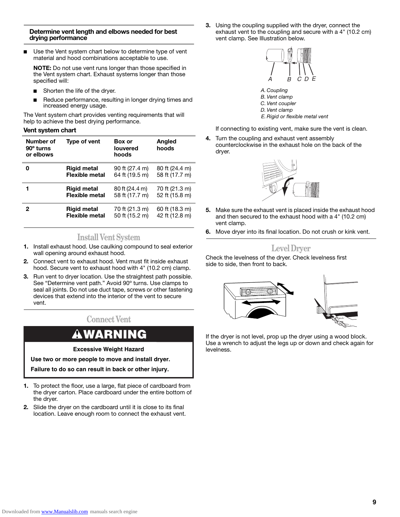#### **Determine vent length and elbows needed for best drying performance**

■ Use the Vent system chart below to determine type of vent material and hood combinations acceptable to use.

**NOTE:** Do not use vent runs longer than those specified in the Vent system chart. Exhaust systems longer than those specified will:

- Shorten the life of the dryer.
- Reduce performance, resulting in longer drying times and increased energy usage.

The Vent system chart provides venting requirements that will help to achieve the best drying performance.

#### **Vent system chart**

| Number of<br>90 <sup>°</sup> turns<br>or elbows | Type of vent          | <b>Box</b> or<br><b>louvered</b><br>hoods | Angled<br>hoods |
|-------------------------------------------------|-----------------------|-------------------------------------------|-----------------|
| ი                                               | <b>Rigid metal</b>    | 90 ft (27.4 m)                            | 80 ft (24.4 m)  |
|                                                 | <b>Flexible metal</b> | 64 ft (19.5 m)                            | 58 ft (17.7 m)  |
|                                                 | <b>Rigid metal</b>    | 80 ft (24.4 m)                            | 70 ft (21.3 m)  |
|                                                 | <b>Flexible metal</b> | 58 ft (17.7 m)                            | 52 ft (15.8 m)  |
| 2                                               | <b>Rigid metal</b>    | 70 ft (21.3 m)                            | 60 ft (18.3 m)  |
|                                                 | <b>Flexible metal</b> | 50 ft (15.2 m)                            | 42 ft (12.8 m)  |

### **Install Vent System**

- **1.** Install exhaust hood. Use caulking compound to seal exterior wall opening around exhaust hood.
- **2.** Connect vent to exhaust hood. Vent must fit inside exhaust hood. Secure vent to exhaust hood with 4" (10.2 cm) clamp.
- **3.** Run vent to dryer location. Use the straightest path possible. See "Determine vent path." Avoid 90º turns. Use clamps to seal all joints. Do not use duct tape, screws or other fastening devices that extend into the interior of the vent to secure vent.

## **Connect Vent**

# **WARNING**

**Excessive Weight Hazard**

**Use two or more people to move and install dryer.**

**Failure to do so can result in back or other injury.**

- **1.** To protect the floor, use a large, flat piece of cardboard from the dryer carton. Place cardboard under the entire bottom of the dryer.
- **2.** Slide the dryer on the cardboard until it is close to its final location. Leave enough room to connect the exhaust vent.

**3.** Using the coupling supplied with the dryer, connect the exhaust vent to the coupling and secure with a 4" (10.2 cm) vent clamp. See Illustration below.



*B. Vent clamp C. Vent coupler D. Vent clamp E. Rigid or flexible metal vent*

If connecting to existing vent, make sure the vent is clean.

**4.** Turn the coupling and exhaust vent assembly counterclockwise in the exhaust hole on the back of the dryer.



- **5.** Make sure the exhaust vent is placed inside the exhaust hood and then secured to the exhaust hood with a 4" (10.2 cm) vent clamp.
- **6.** Move dryer into its final location. Do not crush or kink vent.

### **Level Dryer**

Check the levelness of the dryer. Check levelness first side to side, then front to back.



If the dryer is not level, prop up the dryer using a wood block. Use a wrench to adjust the legs up or down and check again for levelness.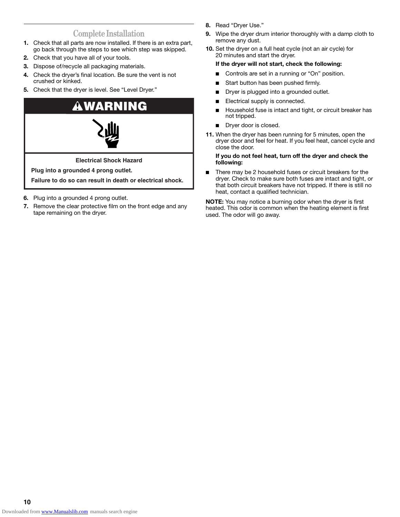## **Complete Installation**

- **1.** Check that all parts are now installed. If there is an extra part, go back through the steps to see which step was skipped.
- **2.** Check that you have all of your tools.
- **3.** Dispose of/recycle all packaging materials.
- **4.** Check the dryer's final location. Be sure the vent is not crushed or kinked.
- **5.** Check that the dryer is level. See "Level Dryer."



- **6.** Plug into a grounded 4 prong outlet.
- **7.** Remove the clear protective film on the front edge and any tape remaining on the dryer.
- **8.** Read "Dryer Use."
- **9.** Wipe the dryer drum interior thoroughly with a damp cloth to remove any dust.
- **10.** Set the dryer on a full heat cycle (not an air cycle) for 20 minutes and start the dryer.

#### **If the dryer will not start, check the following:**

- Controls are set in a running or "On" position.
- Start button has been pushed firmly.
- Dryer is plugged into a grounded outlet.
- Electrical supply is connected.
- Household fuse is intact and tight, or circuit breaker has not tripped.
- Dryer door is closed.
- **11.** When the dryer has been running for 5 minutes, open the dryer door and feel for heat. If you feel heat, cancel cycle and close the door.

#### **If you do not feel heat, turn off the dryer and check the following:**

■ There may be 2 household fuses or circuit breakers for the dryer. Check to make sure both fuses are intact and tight, or that both circuit breakers have not tripped. If there is still no heat, contact a qualified technician.

**NOTE:** You may notice a burning odor when the dryer is first heated. This odor is common when the heating element is first used. The odor will go away.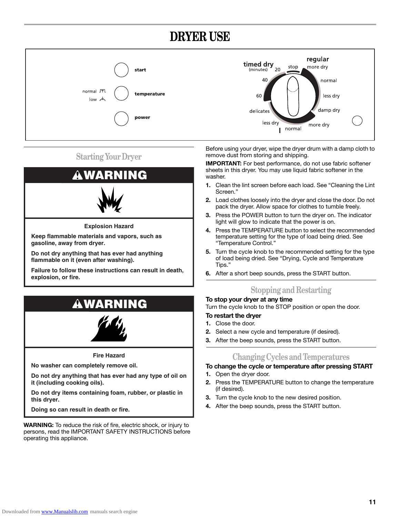# **DRYER USE**



## **Starting Your Dryer**



**Keep flammable materials and vapors, such as gasoline, away from dryer.**

**Do not dry anything that has ever had anything flammable on it (even after washing).**

**Failure to follow these instructions can result in death, explosion, or fire.**

# **WARNING**



**Fire Hazard**

**No washer can completely remove oil.**

**Do not dry anything that has ever had any type of oil on it (including cooking oils).**

**Do not dry items containing foam, rubber, or plastic in this dryer.**

**Doing so can result in death or fire.**

**WARNING:** To reduce the risk of fire, electric shock, or injury to persons, read the IMPORTANT SAFETY INSTRUCTIONS before operating this appliance.

Before using your dryer, wipe the dryer drum with a damp cloth to remove dust from storing and shipping.

**IMPORTANT:** For best performance, do not use fabric softener sheets in this dryer. You may use liquid fabric softener in the washer.

- **1.** Clean the lint screen before each load. See "Cleaning the Lint Screen."
- **2.** Load clothes loosely into the dryer and close the door. Do not pack the dryer. Allow space for clothes to tumble freely.
- **3.** Press the POWER button to turn the dryer on. The indicator light will glow to indicate that the power is on.
- **4.** Press the TEMPERATURE button to select the recommended temperature setting for the type of load being dried. See "Temperature Control."
- **5.** Turn the cycle knob to the recommended setting for the type of load being dried. See "Drying, Cycle and Temperature Tips."
- **6.** After a short beep sounds, press the START button.

## **Stopping and Restarting**

**To stop your dryer at any time** Turn the cycle knob to the STOP position or open the door.

## **To restart the dryer**

- **1.** Close the door.
- **2.** Select a new cycle and temperature (if desired).
- **3.** After the beep sounds, press the START button.

## **Changing Cycles and Temperatures**

### **To change the cycle or temperature after pressing START**

- **1.** Open the dryer door.
- **2.** Press the TEMPERATURE button to change the temperature (if desired).
- **3.** Turn the cycle knob to the new desired position.
- **4.** After the beep sounds, press the START button.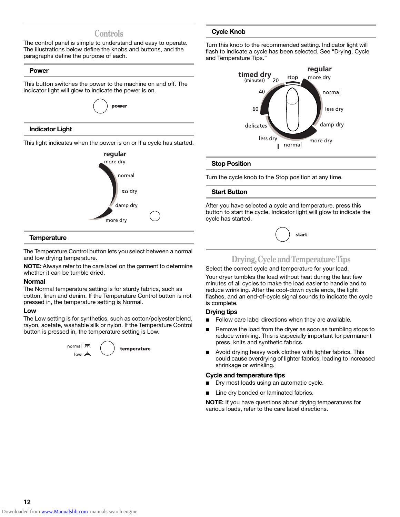### **Controls**

The control panel is simple to understand and easy to operate. The illustrations below define the knobs and buttons, and the paragraphs define the purpose of each.

#### **Power**

This button switches the power to the machine on and off. The indicator light will glow to indicate the power is on.



#### **Indicator Light**

This light indicates when the power is on or if a cycle has started.



#### **Temperature**

The Temperature Control button lets you select between a normal and low drying temperature.

**NOTE:** Always refer to the care label on the garment to determine whether it can be tumble dried.

#### **Normal**

The Normal temperature setting is for sturdy fabrics, such as cotton, linen and denim. If the Temperature Control button is not pressed in, the temperature setting is Normal.

#### **Low**

The Low setting is for synthetics, such as cotton/polyester blend, rayon, acetate, washable silk or nylon. If the Temperature Control button is pressed in, the temperature setting is Low.



temperature

#### **Cycle Knob**

Turn this knob to the recommended setting. Indicator light will flash to indicate a cycle has been selected. See "Drying, Cycle and Temperature Tips."



#### **Stop Position**

Turn the cycle knob to the Stop position at any time.

#### **Start Button**

After you have selected a cycle and temperature, press this button to start the cycle. Indicator light will glow to indicate the cycle has started.

|  | star |
|--|------|
|--|------|

### **Drying, Cycle and Temperature Tips**

Select the correct cycle and temperature for your load.

Your dryer tumbles the load without heat during the last few minutes of all cycles to make the load easier to handle and to reduce wrinkling. After the cool-down cycle ends, the light flashes, and an end-of-cycle signal sounds to indicate the cycle is complete.

#### **Drying tips**

- Follow care label directions when they are available.
- Remove the load from the dryer as soon as tumbling stops to reduce wrinkling. This is especially important for permanent press, knits and synthetic fabrics.
- Avoid drying heavy work clothes with lighter fabrics. This could cause overdrying of lighter fabrics, leading to increased shrinkage or wrinkling.

#### **Cycle and temperature tips**

- Dry most loads using an automatic cycle.
- Line dry bonded or laminated fabrics.

**NOTE:** If you have questions about drying temperatures for various loads, refer to the care label directions.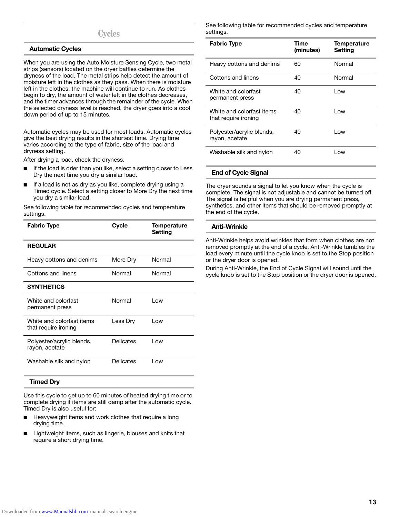## **Cycles**

#### **Automatic Cycles**

When you are using the Auto Moisture Sensing Cycle, two metal strips (sensors) located on the dryer baffles determine the dryness of the load. The metal strips help detect the amount of moisture left in the clothes as they pass. When there is moisture left in the clothes, the machine will continue to run. As clothes begin to dry, the amount of water left in the clothes decreases, and the timer advances through the remainder of the cycle. When the selected dryness level is reached, the dryer goes into a cool down period of up to 15 minutes.

Automatic cycles may be used for most loads. Automatic cycles give the best drying results in the shortest time. Drying time varies according to the type of fabric, size of the load and dryness setting.

After drying a load, check the dryness.

- If the load is drier than you like, select a setting closer to Less Dry the next time you dry a similar load.
- If a load is not as dry as you like, complete drying using a Timed cycle. Select a setting closer to More Dry the next time you dry a similar load.

See following table for recommended cycles and temperature settings.

| <b>Fabric Type</b>                                | Cycle            | Temperature<br>Setting |
|---------------------------------------------------|------------------|------------------------|
| <b>REGULAR</b>                                    |                  |                        |
| Heavy cottons and denims                          | More Dry         | Normal                 |
| Cottons and linens                                | Normal           | Normal                 |
| <b>SYNTHETICS</b>                                 |                  |                        |
| White and colorfast<br>permanent press            | Normal           | l ow                   |
| White and colorfast items<br>that require ironing | Less Drv         | Low                    |
| Polyester/acrylic blends,<br>rayon, acetate       | <b>Delicates</b> | l ow                   |
| Washable silk and nylon                           | <b>Delicates</b> | l ow                   |

#### **Timed Dry**

Use this cycle to get up to 60 minutes of heated drying time or to complete drying if items are still damp after the automatic cycle. Timed Dry is also useful for:

- Heavyweight items and work clothes that require a long drying time.
- Lightweight items, such as lingerie, blouses and knits that require a short drying time.

See following table for recommended cycles and temperature settings.

| <b>Fabric Type</b>                                | Time<br>(minutes) | <b>Temperature</b><br><b>Setting</b> |
|---------------------------------------------------|-------------------|--------------------------------------|
| Heavy cottons and denims                          | 60                | Normal                               |
| Cottons and linens                                | 40                | Normal                               |
| White and colorfast<br>permanent press            | 40                | l ow                                 |
| White and colorfast items<br>that require ironing | 40                | l ow                                 |
| Polyester/acrylic blends,<br>rayon, acetate       | 40                | l ow                                 |
| Washable silk and nylon                           | 40                | l ow                                 |

#### **End of Cycle Signal**

The dryer sounds a signal to let you know when the cycle is complete. The signal is not adjustable and cannot be turned off. The signal is helpful when you are drying permanent press, synthetics, and other items that should be removed promptly at the end of the cycle.

#### **Anti-Wrinkle**

Anti-Wrinkle helps avoid wrinkles that form when clothes are not removed promptly at the end of a cycle. Anti-Wrinkle tumbles the load every minute until the cycle knob is set to the Stop position or the dryer door is opened.

During Anti-Wrinkle, the End of Cycle Signal will sound until the cycle knob is set to the Stop position or the dryer door is opened.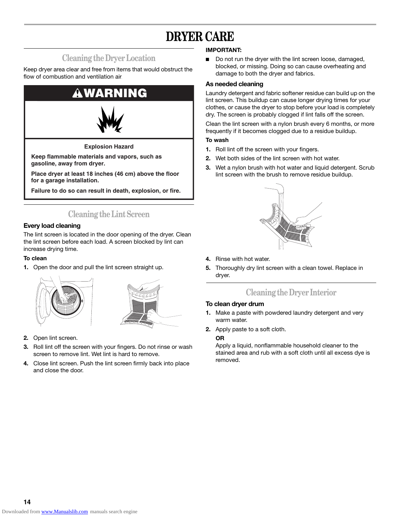# **DRYER CARE**

## **Cleaning the Dryer Location**

Keep dryer area clear and free from items that would obstruct the flow of combustion and ventilation air.



**Keep flammable materials and vapors, such as gasoline, away from dryer.**

**Place dryer at least 18 inches (46 cm) above the floor for a garage installation.**

**Failure to do so can result in death, explosion, or fire.**

## **Cleaning the Lint Screen**

### **Every load cleaning**

The lint screen is located in the door opening of the dryer. Clean the lint screen before each load. A screen blocked by lint can increase drying time.

#### **To clean**

**1.** Open the door and pull the lint screen straight up.





- **2.** Open lint screen.
- **3.** Roll lint off the screen with your fingers. Do not rinse or wash screen to remove lint. Wet lint is hard to remove.
- **4.** Close lint screen. Push the lint screen firmly back into place and close the door.

#### **IMPORTANT:**

■ Do not run the dryer with the lint screen loose, damaged, blocked, or missing. Doing so can cause overheating and damage to both the dryer and fabrics.

#### **As needed cleaning**

Laundry detergent and fabric softener residue can build up on the lint screen. This buildup can cause longer drying times for your clothes, or cause the dryer to stop before your load is completely dry. The screen is probably clogged if lint falls off the screen.

Clean the lint screen with a nylon brush every 6 months, or more frequently if it becomes clogged due to a residue buildup.

#### **To wash**

- **1.** Roll lint off the screen with your fingers.
- **2.** Wet both sides of the lint screen with hot water.
- **3.** Wet a nylon brush with hot water and liquid detergent. Scrub lint screen with the brush to remove residue buildup.



- **4.** Rinse with hot water.
- **5.** Thoroughly dry lint screen with a clean towel. Replace in dryer.

## **Cleaning the Dryer Interior**

#### **To clean dryer drum**

- **1.** Make a paste with powdered laundry detergent and very warm water.
- **2.** Apply paste to a soft cloth.

#### **OR**

Apply a liquid, nonflammable household cleaner to the stained area and rub with a soft cloth until all excess dye is removed.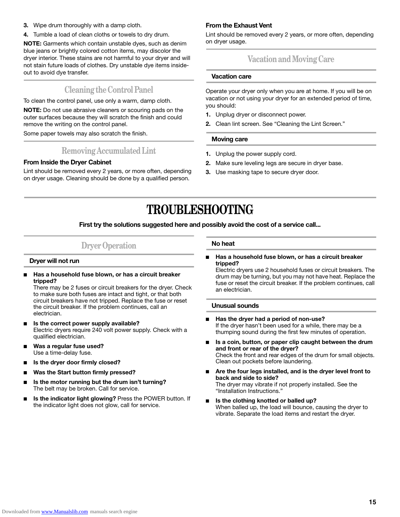- **3.** Wipe drum thoroughly with a damp cloth.
- **4.** Tumble a load of clean cloths or towels to dry drum.

**NOTE:** Garments which contain unstable dyes, such as denim blue jeans or brightly colored cotton items, may discolor the dryer interior. These stains are not harmful to your dryer and will not stain future loads of clothes. Dry unstable dye items insideout to avoid dye transfer.

## **Cleaning the Control Panel**

To clean the control panel, use only a warm, damp cloth.

**NOTE:** Do not use abrasive cleaners or scouring pads on the outer surfaces because they will scratch the finish and could remove the writing on the control panel.

Some paper towels may also scratch the finish.

### **Removing Accumulated Lint**

#### **From Inside the Dryer Cabinet**

Lint should be removed every 2 years, or more often, depending on dryer usage. Cleaning should be done by a qualified person.

### **From the Exhaust Vent**

Lint should be removed every 2 years, or more often, depending on dryer usage.

## **Vacation and Moving Care**

#### **Vacation care**

Operate your dryer only when you are at home. If you will be on vacation or not using your dryer for an extended period of time, you should:

- **1.** Unplug dryer or disconnect power.
- **2.** Clean lint screen. See "Cleaning the Lint Screen."

#### **Moving care**

- **1.** Unplug the power supply cord.
- **2.** Make sure leveling legs are secure in dryer base.
- **3.** Use masking tape to secure dryer door.

# **TROUBLESHOOTING**

#### **First try the solutions suggested here and possibly avoid the cost of a service call...**

## **Dryer Operation**

#### **Dryer will not run**

Has a household fuse blown, or has a circuit breaker **tripped?**

There may be 2 fuses or circuit breakers for the dryer. Check to make sure both fuses are intact and tight, or that both circuit breakers have not tripped. Replace the fuse or reset the circuit breaker. If the problem continues, call an electrician.

- Is the correct power supply available? Electric dryers require 240 volt power supply. Check with a qualified electrician.
- Was a regular fuse used? Use a time-delay fuse.
- Is the dryer door firmly closed?
- Was the Start button firmly pressed?
- Is the motor running but the drum isn't turning? The belt may be broken. Call for service.
- **Is the indicator light glowing?** Press the POWER button. If the indicator light does not glow, call for service.

#### **No heat**

Has a household fuse blown, or has a circuit breaker **tripped?**

Electric dryers use 2 household fuses or circuit breakers. The drum may be turning, but you may not have heat. Replace the fuse or reset the circuit breaker. If the problem continues, call an electrician.

#### **Unusual sounds**

- **Has the dryer had a period of non-use?**  If the dryer hasn't been used for a while, there may be a thumping sound during the first few minutes of operation.
- Is a coin, button, or paper clip caught between the drum **and front or rear of the dryer?** Check the front and rear edges of the drum for small objects. Clean out pockets before laundering.
- Are the four legs installed, and is the dryer level front to **back and side to side?** The dryer may vibrate if not properly installed. See the "Installation Instructions."
- Is the clothing knotted or balled up? When balled up, the load will bounce, causing the dryer to vibrate. Separate the load items and restart the dryer.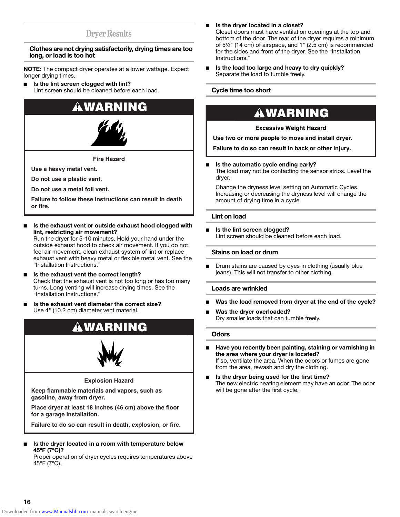## **Dryer Results**

#### **Clothes are not drying satisfactorily, drying times are too long, or load is too hot**

**NOTE:** The compact dryer operates at a lower wattage. Expect longer drying times.

**Is the lint screen clogged with lint?** Lint screen should be cleaned before each load.

# **WARNING**



**Fire Hazard**

**Use a heavy metal vent.**

**Do not use a plastic vent.**

**Do not use a metal foil vent.**

**Failure to follow these instructions can result in death or fire.**

Is the exhaust vent or outside exhaust hood clogged with **lint, restricting air movement?** 

Run the dryer for 5-10 minutes. Hold your hand under the outside exhaust hood to check air movement. If you do not feel air movement, clean exhaust system of lint or replace exhaust vent with heavy metal or flexible metal vent. See the "Installation Instructions."

- **Is the exhaust vent the correct length?** Check that the exhaust vent is not too long or has too many turns. Long venting will increase drying times. See the "Installation Instructions."
- **Is the exhaust vent diameter the correct size?** Use 4" (10.2 cm) diameter vent material.





#### **Explosion Hazard**

**Keep flammable materials and vapors, such as gasoline, away from dryer.**

**Place dryer at least 18 inches (46 cm) above the floor for a garage installation.**

**Failure to do so can result in death, explosion, or fire.**

■ **Is the dryer located in a room with temperature below 45ºF (7ºC)?**

Proper operation of dryer cycles requires temperatures above 45ºF (7ºC).

- Is the dryer located in a closet? Closet doors must have ventilation openings at the top and bottom of the door. The rear of the dryer requires a minimum of 5½" (14 cm) of airspace, and 1" (2.5 cm) is recommended for the sides and front of the dryer. See the "Installation Instructions."
- Is the load too large and heavy to dry quickly? Separate the load to tumble freely.

#### **Cycle time too short**

# **WARNING**

#### **Excessive Weight Hazard**

**Use two or more people to move and install dryer.**

**Failure to do so can result in back or other injury.**

■ **Is the automatic cycle ending early?** 

The load may not be contacting the sensor strips. Level the dryer.

Change the dryness level setting on Automatic Cycles. Increasing or decreasing the dryness level will change the amount of drying time in a cycle.

#### **Lint on load**

**Is the lint screen clogged?** Lint screen should be cleaned before each load.

#### **Stains on load or drum**

■ Drum stains are caused by dyes in clothing (usually blue jeans). This will not transfer to other clothing.

#### **Loads are wrinkled**

- Was the load removed from dryer at the end of the cycle?
- Was the dryer overloaded? Dry smaller loads that can tumble freely.

#### **Odors**

- Have you recently been painting, staining or varnishing in **the area where your dryer is located?** If so, ventilate the area. When the odors or fumes are gone from the area, rewash and dry the clothing.
- Is the dryer being used for the first time? The new electric heating element may have an odor. The odor will be gone after the first cycle.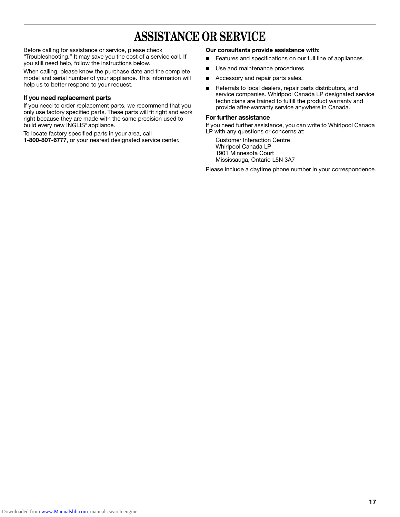# **ASSISTANCE OR SERVICE**

Before calling for assistance or service, please check "Troubleshooting." It may save you the cost of a service call. If you still need help, follow the instructions below.

When calling, please know the purchase date and the complete model and serial number of your appliance. This information will help us to better respond to your request.

#### **If you need replacement parts**

If you need to order replacement parts, we recommend that you only use factory specified parts. These parts will fit right and work right because they are made with the same precision used to build every new INGLIS® appliance.

To locate factory specified parts in your area, call **1-800-807-6777**, or your nearest designated service center.

#### **Our consultants provide assistance with:**

- Features and specifications on our full line of appliances.
- Use and maintenance procedures.
- Accessory and repair parts sales.
- Referrals to local dealers, repair parts distributors, and service companies. Whirlpool Canada LP designated service technicians are trained to fulfill the product warranty and provide after-warranty service anywhere in Canada.

#### **For further assistance**

If you need further assistance, you can write to Whirlpool Canada LP with any questions or concerns at:

Customer Interaction Centre Whirlpool Canada LP 1901 Minnesota Court Mississauga, Ontario L5N 3A7

Please include a daytime phone number in your correspondence.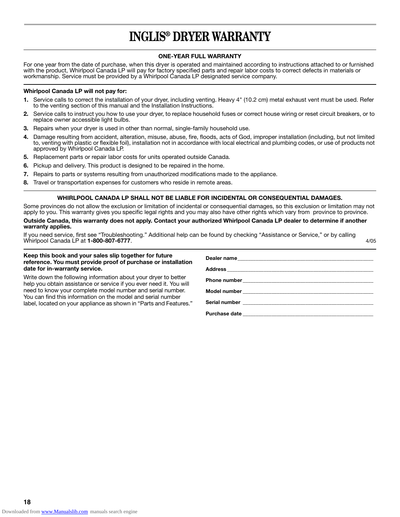# **INGLIS® DRYER WARRANTY**

#### **ONE-YEAR FULL WARRANTY**

For one year from the date of purchase, when this dryer is operated and maintained according to instructions attached to or furnished with the product, Whirlpool Canada LP will pay for factory specified parts and repair labor costs to correct defects in materials or workmanship. Service must be provided by a Whirlpool Canada LP designated service company.

#### **Whirlpool Canada LP will not pay for:**

- **1.** Service calls to correct the installation of your dryer, including venting. Heavy 4" (10.2 cm) metal exhaust vent must be used. Refer to the venting section of this manual and the Installation Instructions.
- **2.** Service calls to instruct you how to use your dryer, to replace household fuses or correct house wiring or reset circuit breakers, or to replace owner accessible light bulbs.
- **3.** Repairs when your dryer is used in other than normal, single-family household use.
- **4.** Damage resulting from accident, alteration, misuse, abuse, fire, floods, acts of God, improper installation (including, but not limited to, venting with plastic or flexible foil), installation not in accordance with local electrical and plumbing codes, or use of products not approved by Whirlpool Canada LP.
- **5.** Replacement parts or repair labor costs for units operated outside Canada.
- **6.** Pickup and delivery. This product is designed to be repaired in the home.
- **7.** Repairs to parts or systems resulting from unauthorized modifications made to the appliance.
- **8.** Travel or transportation expenses for customers who reside in remote areas.

#### **WHIRLPOOL CANADA LP SHALL NOT BE LIABLE FOR INCIDENTAL OR CONSEQUENTIAL DAMAGES.**

Some provinces do not allow the exclusion or limitation of incidental or consequential damages, so this exclusion or limitation may not apply to you. This warranty gives you specific legal rights and you may also have other rights which vary from province to province.

**Outside Canada, this warranty does not apply. Contact your authorized Whirlpool Canada LP dealer to determine if another warranty applies.**

If you need service, first see "Troubleshooting." Additional help can be found by checking "Assistance or Service," or by calling Whirlpool Canada LP at **1-800-807-6777**. 4/05

#### **Keep this book and your sales slip together for future reference. You must provide proof of purchase or installation date for in-warranty service.**

Write down the following information about your dryer to better help you obtain assistance or service if you ever need it. You will need to know your complete model number and serial number. You can find this information on the model and serial number label, located on your appliance as shown in "Parts and Features."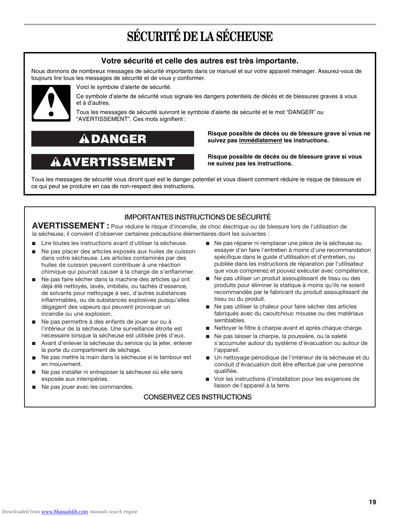# **SÉCURITÉ DE LA SÉCHEUSE**

### **Votre sécurité et celle des autres est très importante.**

Nous donnons de nombreux messages de sécurité importants dans ce manuel et sur votre appareil ménager. Assurez-vous de toujours lire tous les messages de sécurité et de vous y conformer.



Voici le symbole d'alerte de sécurité.

Ce symbole d'alerte de sécurité vous signale les dangers potentiels de décès et de blessures graves à vous et à d'autres.

Tous les messages de sécurité suivront le symbole d'alerte de sécurité et le mot "DANGER" ou "AVERTISSEMENT". Ces mots signifient :

# **DANGER**

# **ERTIS**

**Risque possible de décès ou de blessure grave si vous ne suivez pas immédiatement les instructions.** 

**Risque possible de décès ou de blessure grave si vous ne suivez pas les instructions.** 

Tous les messages de sécurité vous diront quel est le danger potentiel et vous disent comment réduire le risque de blessure et ce qui peut se produire en cas de non-respect des instructions.

### **IMPORTANTES INSTRUCTIONS DE SÉCURITÉ**

AVERTISSEMENT : Pour réduire le risque d'incendie, de choc électrique ou de blessure lors de l'utilisation de la sécheuse, il convient d'observer certaines précautions élémentaires dont les suivantes :

- Lire toutes les instructions avant d'utiliser la sécheuse.
- Ne pas placer des articles exposés aux huiles de cuisson dans votre sécheuse. Les articles contaminés par des huiles de cuisson peuvent contribuer à une réaction chimique qui pourrait causer à la charge de s'enflammer.
- Ne pas faire sécher dans la machine des articles qui ont déjà été nettoyés, lavés, imbibés, ou tachés d'essence, de solvants pour nettoyage à sec, d'autres substances inflammables, ou de substances explosives puisqu'elles dégagent des vapeurs qui peuvent provoquer un incendie ou une explosion.
- Ne pas permettre à des enfants de jouer sur ou à l'intérieur de la sécheuse. Une surveillance étroite est nécessaire lorsque la sécheuse est utilisée près d'eux.
- Avant d'enlever la sécheuse du service ou la jeter, enlever la porte du compartiment de séchage.
- Ne pas mettre la main dans la sécheuse si le tambour est en mouvement. ■
- Ne pas installer ni entreposer la sécheuse où elle sera exposée aux intempéries.
- Ne pas jouer avec les commandes.
- Ne pas réparer ni remplacer une pièce de la sécheuse ou essayer d'en faire l'entretien à moins d'une recommandation spécifique dans le guide d'utlilisation et d'entretien, ou publiée dans les instructions de réparation par l'utilisateur que vous comprenez et pouvez exécuter avec compétence.
- Ne pas utiliser un produit assouplissant de tissu ou des produits pour éliminer la statique à moins qu'ils ne soient recommandés par le fabricant du produit assouplissant de tissu ou du produit.
- Ne pas utiliser la chaleur pour faire sécher des articles fabriqués avec du caoutchouc mousse ou des matériaux semblables.
- Nettoyer le filtre à charpie avant et après chaque charge.
- Ne pas laisser la charpie, la poussière, ou la saleté s'accumuler autour du système d'évacuation ou autour de l'appareil.
- Un nettoyage périodique de l'intérieur de la sécheuse et du conduit d'évacuation doit être effectué par une personne qualifiée.
- Voir les instructions d'installation pour les exigences de liaison de l'appareil à la terre.

### **CONSERVEZ CES INSTRUCTIONS**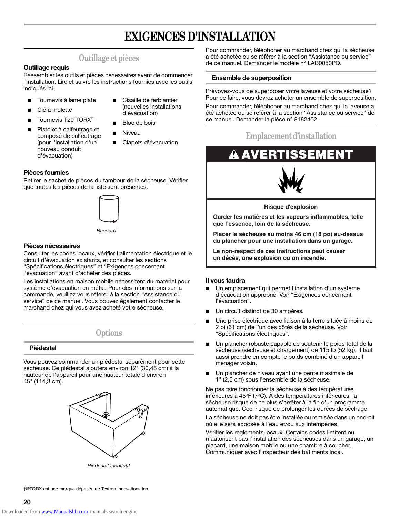# **EXIGENCES D'INSTALLATION**

## **Outillage et pièces**

#### **Outillage requis**

Rassembler les outils et pièces nécessaires avant de commencer l'installation. Lire et suivre les instructions fournies avec les outils indiqués ici.

- Tournevis à lame plate
- Clé à molette
- Tournevis T20 TORX<sup>®†</sup>

Pistolet à calfeutrage et composé de calfeutrage (pour l'installation d'un nouveau conduit d'évacuation)

(nouvelles installations d'évacuation)

Cisaille de ferblantier

- Bloc de bois
- **Niveau**
- Clapets d'évacuation

#### **Pièces fournies**

Retirer le sachet de pièces du tambour de la sécheuse. Vérifier que toutes les pièces de la liste sont présentes.



*Raccord* 

#### **Pièces nécessaires**

Consulter les codes locaux, vérifier l'alimentation électrique et le circuit d'évacuation existants, et consulter les sections "Spécifications électriques" et "Exigences concernant l'évacuation" avant d'acheter des pièces.

Les installations en maison mobile nécessitent du matériel pour système d'évacuation en métal. Pour des informations sur la commande, veuillez vous référer à la section "Assistance ou service" de ce manuel. Vous pouvez également contacter le marchand chez qui vous avez acheté votre sécheuse.

**Options**

#### **Piédestal**

Vous pouvez commander un piédestal séparément pour cette sécheuse. Ce piédestal ajoutera environ 12" (30,48 cm) à la hauteur de l'appareil pour une hauteur totale d'environ 45" (114,3 cm).



*Piédestal facultatif*

Pour commander, téléphoner au marchand chez qui la sécheuse a été achetée ou se référer à la section "Assistance ou service" de ce manuel. Demander le modèle n° LAB0050PQ.

#### **Ensemble de superposition**

Prévoyez-vous de superposer votre laveuse et votre sécheuse? Pour ce faire, vous devrez acheter un ensemble de superposition. Pour commander, téléphoner au marchand chez qui la laveuse a été achetée ou se référer à la section "Assistance ou service" de ce manuel. Demander la pièce n° 8182452.

## **Emplacement d'installation**

# **AVERTISSEMENT**



**Risque d'explosion**

**Garder les matières et les vapeurs inflammables, telle que l'essence, loin de la sécheuse.**

**Placer la sécheuse au moins 46 cm (18 po) au-dessus du plancher pour une installation dans un garage.**

**Le non-respect de ces instructions peut causer un décès, une explosion ou un incendie.**

#### **Il vous faudra**

- Un emplacement qui permet l'installation d'un système d'évacuation approprié. Voir "Exigences concernant l'évacuation".
- Un circuit distinct de 30 ampères.
- Une prise électrique avec liaison à la terre située à moins de 2 pi (61 cm) de l'un des côtés de la sécheuse. Voir "Spécifications électriques".
- Un plancher robuste capable de soutenir le poids total de la sécheuse (sécheuse et chargement) de 115 lb (52 kg). Il faut aussi prendre en compte le poids combiné d'un appareil ménager voisin.
- Un plancher de niveau ayant une pente maximale de 1" (2,5 cm) sous l'ensemble de la sécheuse.

Ne pas faire fonctionner la sécheuse à des températures inférieures à 45ºF (7ºC). À des températures inférieures, la sécheuse risque de ne plus s'arrêter à la fin d'un programme automatique. Ceci risque de prolonger les durées de séchage.

La sécheuse ne doit pas être installée ou remisée dans un endroit où elle sera exposée à l'eau et/ou aux intempéries.

Vérifier les règlements locaux. Certains codes limitent ou n'autorisent pas l'installation des sécheuses dans un garage, un placard, une maison mobile ou une chambre à coucher. Communiquer avec l'inspecteur des bâtiments local.

†®TORX est une marque déposée de Textron Innovations Inc.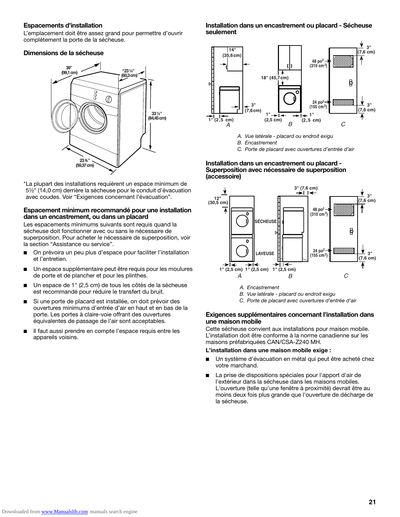#### **Espacements d'installation**

L'emplacement doit être assez grand pour permettre d'ouvrir complètement la porte de la sécheuse.

#### **Dimensions de la sécheuse**



\*La plupart des installations requièrent un espace minimum de 5½" (14,0 cm) derrière la sécheuse pour le conduit d'évacuation avec coudes. Voir "Exigences concernant l'évacuation".

#### **Espacement minimum recommandé pour une installation dans un encastrement, ou dans un placard**

Les espacements minimums suivants sont requis quand la sécheuse doit fonctionner avec ou sans le nécessaire de superposition. Pour acheter le nécessaire de superposition, voir la section "Assistance ou service".

- On prévoira un peu plus d'espace pour faciliter l'installation et l'entretien.
- Un espace supplémentaire peut être requis pour les moulures de porte et de plancher et pour les plinthes.
- Un espace de 1" (2,5 cm) de tous les côtés de la sécheuse est recommandé pour réduire le transfert du bruit.
- Si une porte de placard est installée, on doit prévoir des ouvertures minimums d'entrée d'air en haut et en bas de la porte. Les portes à claire-voie offrant des ouvertures équivalentes de passage de l'air sont acceptables.
- Il faut aussi prendre en compte l'espace requis entre les appareils voisins.

#### **Installation dans un encastrement ou placard - Sécheuse seulement**



- *A. Vue latérale placard ou endroit exigu*
- *B. Encastrement*

*C. Porte de placard avec ouvertures d'entrée d'air*

#### **Installation dans un encastrement ou placard - Superposition avec nécessaire de superposition (accessoire)**



- *A. Encastrement*
- *B. Vue latérale placard ou endroit exigu*
- *C. Porte de placard avec ouvertures d'entrée d'air*

#### **Exigences supplémentaires concernant l'installation dans une maison mobile**

Cette sécheuse convient aux installations pour maison mobile. L'installation doit être conforme à la norme canadienne sur les maisons préfabriquées CAN/CSA-Z240 MH.

#### **L'installation dans une maison mobile exige :**

- Un système d'évacuation en métal qui peut être acheté chez votre marchand.
- La prise de dispositions spéciales pour l'apport d'air de l'extérieur dans la sécheuse dans les maisons mobiles. L'ouverture (telle qu'une fenêtre à proximité) devrait être au moins deux fois plus grande que l'ouverture de décharge de la sécheuse.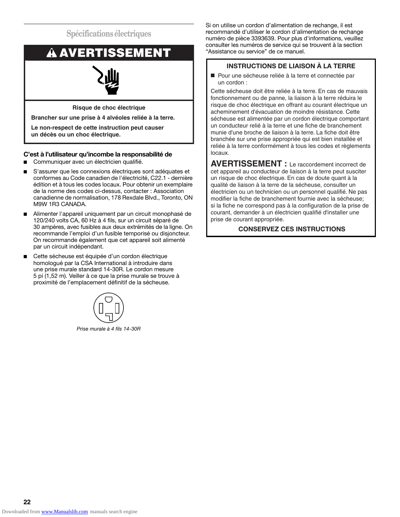**Spécifications électriques**



**Le non-respect de cette instruction peut causer un décès ou un choc électrique.**

#### **C'est à l'utilisateur qu'incombe la responsabilité de**

- Communiquer avec un électricien qualifié.
- S'assurer que les connexions électriques sont adéquates et conformes au Code canadien de l'électricité, C22.1 - dernière édition et à tous les codes locaux. Pour obtenir un exemplaire de la norme des codes ci-dessus, contacter : Association canadienne de normalisation, 178 Rexdale Blvd., Toronto, ON M9W 1R3 CANADA.
- Alimenter l'appareil uniquement par un circuit monophasé de 120/240 volts CA, 60 Hz à 4 fils, sur un circuit séparé de 30 ampères, avec fusibles aux deux extrémités de la ligne. On recommande l'emploi d'un fusible temporisé ou disjoncteur. On recommande également que cet appareil soit alimenté par un circuit indépendant.
- Cette sécheuse est équipée d'un cordon électrique homologué par la CSA International à introduire dans une prise murale standard 14-30R. Le cordon mesure 5 pi (1,52 m). Veiller à ce que la prise murale se trouve à proximité de l'emplacement définitif de la sécheuse.



*Prise murale à 4 fils 14-30R*

Si on utilise un cordon d'alimentation de rechange, il est recommandé d'utiliser le cordon d'alimentation de rechange numéro de pièce 3393639. Pour plus d'informations, veuillez consulter les numéros de service qui se trouvent à la section

### **INSTRUCTIONS DE LIAISON À LA TERRE**

■ Pour une sécheuse reliée à la terre et connectée par un cordon :

Cette sécheuse doit être reliée à la terre. En cas de mauvais fonctionnement ou de panne, la liaison à la terre réduira le risque de choc électrique en offrant au courant électrique un acheminement d'évacuation de moindre résistance. Cette sécheuse est alimentée par un cordon électrique comportant un conducteur relié à la terre et une fiche de branchement munie d'une broche de liaison à la terre. La fiche doit être branchée sur une prise appropriée qui est bien installée et reliée à la terre conformément à tous les codes et règlements locaux.

**AVERTISSEMENT :** Le raccordement incorrect de cet appareil au conducteur de liaison à la terre peut susciter un risque de choc électrique. En cas de doute quant à la qualité de liaison à la terre de la sécheuse, consulter un électricien ou un technicien ou un personnel qualifié. Ne pas modifier la fiche de branchement fournie avec la sécheuse; si la fiche ne correspond pas à la configuration de la prise de courant, demander à un électricien qualifié d'installer une prise de courant appropriée.

### **CONSERVEZ CES INSTRUCTIONS**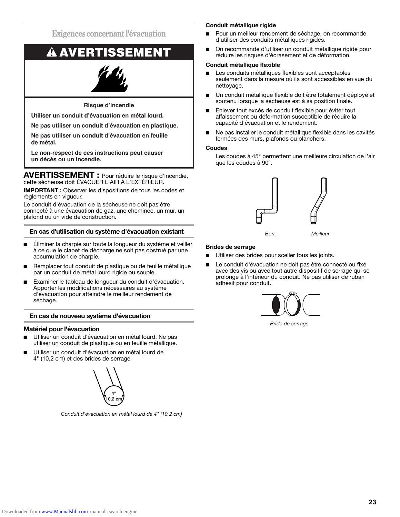**Exigences concernant l'évacuation**

# **AVERTISSEMENT**

### **Risque d'incendie**

**Utiliser un conduit d'évacuation en métal lourd.**

**Ne pas utiliser un conduit d'évacuation en plastique.**

**Ne pas utiliser un conduit d'évacuation en feuille de métal.**

**Le non-respect de ces instructions peut causer un décès ou un incendie.**

**AVERTISSEMENT :** Pour réduire le risque d'incendie, cette sécheuse doit ÉVACUER L'AIR À L'EXTÉRIEUR.

**IMPORTANT :** Observer les dispositions de tous les codes et règlements en vigueur.

Le conduit d'évacuation de la sécheuse ne doit pas être connecté à une évacuation de gaz, une cheminée, un mur, un plafond ou un vide de construction.

#### **En cas d'utilisation du système d'évacuation existant**

- Éliminer la charpie sur toute la longueur du système et veiller à ce que le clapet de décharge ne soit pas obstrué par une accumulation de charpie.
- Remplacer tout conduit de plastique ou de feuille métallique par un conduit de métal lourd rigide ou souple.
- Examiner le tableau de longueur du conduit d'évacuation. Apporter les modifications nécessaires au système d'évacuation pour atteindre le meilleur rendement de séchage.

#### **En cas de nouveau système d'évacuation**

#### **Matériel pour l'évacuation**

- Utiliser un conduit d'évacuation en métal lourd. Ne pas utiliser un conduit de plastique ou en feuille métallique.
- Utiliser un conduit d'évacuation en métal lourd de 4" (10,2 cm) et des brides de serrage.



*Conduit d'évacuation en métal lourd de 4" (10,2 cm)*

#### **Conduit métallique rigide**

- Pour un meilleur rendement de séchage, on recommande d'utiliser des conduits métalliques rigides.
- On recommande d'utiliser un conduit métallique rigide pour réduire les risques d'écrasement et de déformation.

#### **Conduit métallique flexible**

- Les conduits métalliques flexibles sont acceptables seulement dans la mesure où ils sont accessibles en vue du nettoyage.
- Un conduit métallique flexible doit être totalement déplové et soutenu lorsque la sécheuse est à sa position finale.
- Enlever tout excès de conduit flexible pour éviter tout affaissement ou déformation susceptible de réduire la capacité d'évacuation et le rendement.
- Ne pas installer le conduit métallique flexible dans les cavités fermées des murs, plafonds ou planchers.

#### **Coudes**

Les coudes à 45° permettent une meilleure circulation de l'air que les coudes à 90°.



#### **Brides de serrage**

- Utiliser des brides pour sceller tous les joints.
- Le conduit d'évacuation ne doit pas être connecté ou fixé avec des vis ou avec tout autre dispositif de serrage qui se prolonge à l'intérieur du conduit. Ne pas utiliser de ruban adhésif pour conduit.



*Bride de serrage*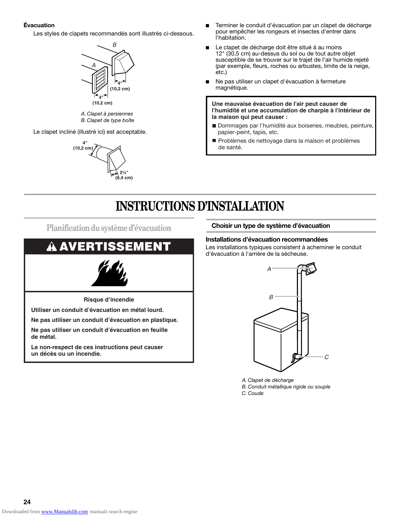#### **Évacuation**

Les styles de clapets recommandés sont illustrés ci-dessous.



*A. Clapet à persiennes B. Clapet de type boîte*

Le clapet incliné (illustré ici) est acceptable.



- Terminer le conduit d'évacuation par un clapet de décharge pour empêcher les rongeurs et insectes d'entrer dans l'habitation.
- Le clapet de décharge doit être situé à au moins 12" (30,5 cm) au-dessus du sol ou de tout autre objet susceptible de se trouver sur le trajet de l'air humide rejeté (par exemple, fleurs, roches ou arbustes, limite de la neige, etc.)
- Ne pas utiliser un clapet d'évacuation à fermeture magnétique.

**Une mauvaise évacuation de l'air peut causer de l'humidité et une accumulation de charpie à l'intérieur de la maison qui peut causer :**

- Dommages par l'humidité aux boiseries, meubles, peinture, papier-peint, tapis, etc.
- Problèmes de nettoyage dans la maison et problèmes de santé.

# **INSTRUCTIONS D'INSTALLATION**

**Planification du système d'évacuation Choisir un type de système d'évacuation**

# **AVERTISSEMENT**



**Risque d'incendie**

**Utiliser un conduit d'évacuation en métal lourd.**

**Ne pas utiliser un conduit d'évacuation en plastique.**

**Ne pas utiliser un conduit d'évacuation en feuille de métal.**

**Le non-respect de ces instructions peut causer un décès ou un incendie.**

#### **Installations d'évacuation recommandées**

Les installations typiques consistent à acheminer le conduit d'évacuation à l'arrière de la sécheuse.



*A. Clapet de décharge B. Conduit métallique rigide ou souple C. Coude*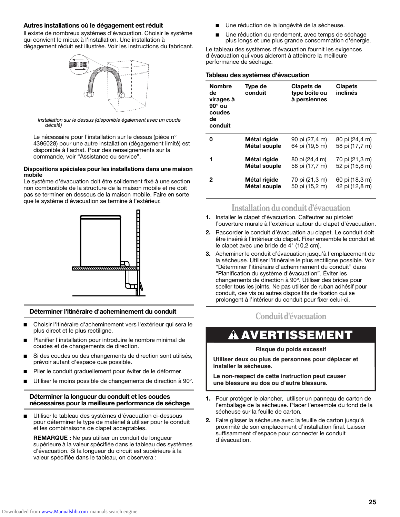#### **Autres installations où le dégagement est réduit**

Il existe de nombreux systèmes d'évacuation. Choisir le système qui convient le mieux à l'installation. Une installation à dégagement réduit est illustrée. Voir les instructions du fabricant.



*Installation sur le dessus (disponible également avec un coude décalé)*

Le nécessaire pour l'installation sur le dessus (pièce n° 4396028) pour une autre installation (dégagement limité) est disponible à l'achat. Pour des renseignements sur la commande, voir "Assistance ou service".

#### **Dispositions spéciales pour les installations dans une maison mobile**

Le système d'évacuation doit être solidement fixé à une section non combustible de la structure de la maison mobile et ne doit pas se terminer en dessous de la maison mobile. Faire en sorte que le système d'évacuation se termine à l'extérieur.



#### **Déterminer l'itinéraire d'acheminement du conduit**

- Choisir l'itinéraire d'acheminement vers l'extérieur qui sera le plus direct et le plus rectiligne.
- Planifier l'installation pour introduire le nombre minimal de coudes et de changements de direction.
- Si des coudes ou des changements de direction sont utilisés, prévoir autant d'espace que possible.
- Plier le conduit graduellement pour éviter de le déformer.
- Utiliser le moins possible de changements de direction à 90°.

#### **Déterminer la longueur du conduit et les coudes nécessaires pour la meilleure performance de séchage**

■ Utiliser le tableau des systèmes d'évacuation ci-dessous pour déterminer le type de matériel à utiliser pour le conduit et les combinaisons de clapet acceptables.

**REMARQUE :** Ne pas utiliser un conduit de longueur supérieure à la valeur spécifiée dans le tableau des systèmes d'évacuation. Si la longueur du circuit est supérieure à la valeur spécifiée dans le tableau, on observera :

- Une réduction de la longévité de la sécheuse.
- Une réduction du rendement, avec temps de séchage plus longs et une plus grande consommation d'énergie.

Le tableau des systèmes d'évacuation fournit les exigences d'évacuation qui vous aideront à atteindre la meilleure performance de séchage.

#### **Tableau des systèmes d'évacuation**

| <b>Nombre</b><br>de<br>virages à<br>$90^\circ$ ou<br>coudes<br>de<br>conduit | Type de<br>conduit | Clapets de<br>type boîte ou<br>à persiennes | <b>Clapets</b><br>inclinés |
|------------------------------------------------------------------------------|--------------------|---------------------------------------------|----------------------------|
| 0                                                                            | Métal rigide       | 90 pi (27,4 m)                              | 80 pi (24,4 m)             |
|                                                                              | Métal souple       | 64 pi (19,5 m)                              | 58 pi (17,7 m)             |
| 1                                                                            | Métal rigide       | 80 pi (24,4 m)                              | 70 pi (21,3 m)             |
|                                                                              | Métal souple       | 58 pi (17,7 m)                              | 52 pi (15,8 m)             |
| 2                                                                            | Métal rigide       | 70 pi (21,3 m)                              | 60 pi (18,3 m)             |
|                                                                              | Métal souple       | 50 pi (15,2 m)                              | 42 pi (12,8 m)             |

### **Installation du conduit d'évacuation**

- **1.** Installer le clapet d'évacuation. Calfeutrer au pistolet l'ouverture murale à l'extérieur autour du clapet d'évacuation.
- **2.** Raccorder le conduit d'évacuation au clapet. Le conduit doit être inséré à l'intérieur du clapet. Fixer ensemble le conduit et le clapet avec une bride de 4" (10,2 cm).
- **3.** Acheminer le conduit d'évacuation jusqu'à l'emplacement de la sécheuse. Utiliser l'itinéraire le plus rectiligne possible. Voir "Déterminer l'itinéraire d'acheminement du conduit" dans "Planification du système d'évacuation". Éviter les changements de direction à 90º. Utiliser des brides pour sceller tous les joints. Ne pas utiliser de ruban adhésif pour conduit, des vis ou autres dispositifs de fixation qui se prolongent à l'intérieur du conduit pour fixer celui-ci.

## **Conduit d'évacuation**

# **AVERTISSEMENT**

#### **Risque du poids excessif**

**Utiliser deux ou plus de personnes pour déplacer et installer la sécheuse.**

**Le non-respect de cette instruction peut causer une blessure au dos ou d'autre blessure.**

- **1.** Pour protéger le plancher, utiliser un panneau de carton de l'emballage de la sécheuse. Placer l'ensemble du fond de la sécheuse sur la feuille de carton.
- **2.** Faire glisser la sécheuse avec la feuille de carton jusqu'à proximité de son emplacement d'installation final. Laisser suffisamment d'espace pour connecter le conduit d'évacuation.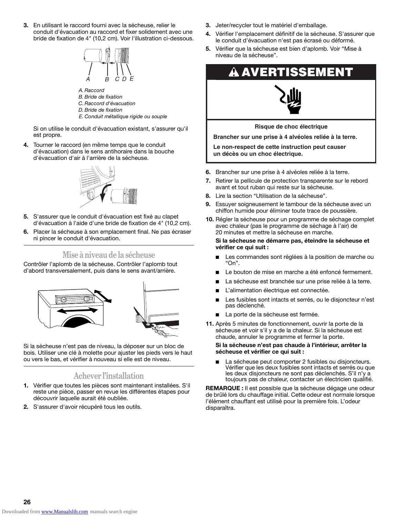**3.** En utilisant le raccord fourni avec la sécheuse, relier le conduit d'évacuation au raccord et fixer solidement avec une bride de fixation de 4" (10,2 cm). Voir l'illustration ci-dessous.



- *A. Raccord B. Bride de fixation*
- *C. Raccord d'évacuation*
- *D. Bride de fixation*
- *E. Conduit métallique rigide ou souple*

Si on utilise le conduit d'évacuation existant, s'assurer qu'il est propre.

**4.** Tourner le raccord (en même temps que le conduit d'évacuation) dans le sens antihoraire dans la bouche d'évacuation d'air à l'arrière de la sécheuse.



- **5.** S'assurer que le conduit d'évacuation est fixé au clapet d'évacuation à l'aide d'une bride de fixation de 4" (10,2 cm).
- **6.** Placer la sécheuse à son emplacement final. Ne pas écraser ni pincer le conduit d'évacuation.

## **Mise à niveau de la sécheuse**

Contrôler l'aplomb de la sécheuse. Contrôler l'aplomb tout d'abord transversalement, puis dans le sens avant/arrière.



Si la sécheuse n'est pas de niveau, la déposer sur un bloc de bois. Utiliser une clé à molette pour ajuster les pieds vers le haut ou vers le bas, et vérifier à nouveau si elle est de niveau.

## **Achever l'installation**

- **1.** Vérifier que toutes les pièces sont maintenant installées. S'il reste une pièce, passer en revue les différentes étapes pour découvrir laquelle aurait été oubliée.
- **2.** S'assurer d'avoir récupéré tous les outils.
- **3.** Jeter/recycler tout le matériel d'emballage.
- **4.** Vérifier l'emplacement définitif de la sécheuse. S'assurer que le conduit d'évacuation n'est pas écrasé ou déformé.
- **5.** Vérifier que la sécheuse est bien d'aplomb. Voir "Mise à niveau de la sécheuse".





**Risque de choc électrique**

**Brancher sur une prise à 4 alvéoles reliée à la terre.**

**Le non-respect de cette instruction peut causer un décès ou un choc électrique.**

- **6.** Brancher sur une prise à 4 alvéoles reliée à la terre.
- **7.** Retirer la pellicule de protection transparente sur le rebord avant et tout ruban qui reste sur la sécheuse.
- **8.** Lire la section "Utilisation de la sécheuse".
- **9.** Essuyer soigneusement le tambour de la sécheuse avec un chiffon humide pour éliminer toute trace de poussière.
- **10.** Régler la sécheuse pour un programme de séchage complet avec chaleur (pas le programme de séchage à l'air) de 20 minutes et mettre la sécheuse en marche.

**Si la sécheuse ne démarre pas, éteindre la sécheuse et vérifier ce qui suit :**

- Les commandes sont réglées à la position de marche ou "On".
- Le bouton de mise en marche a été enfoncé fermement.
- La sécheuse est branchée sur une prise reliée à la terre.
- L'alimentation électrique est connectée.
- Les fusibles sont intacts et serrés, ou le disjoncteur n'est pas déclenché.
- La porte de la sécheuse est fermée.
- **11.** Après 5 minutes de fonctionnement, ouvrir la porte de la sécheuse et voir s'il y a de la chaleur. Si la sécheuse est chaude, annuler le programme et fermer la porte.

#### **Si la sécheuse n'est pas chaude à l'intérieur, arrêter la sécheuse et vérifier ce qui suit :**

La sécheuse peut comporter 2 fusibles ou disjoncteurs. Vérifier que les deux fusibles sont intacts et serrés ou que les deux disjoncteurs ne sont pas déclenchés. S'il n'y a toujours pas de chaleur, contacter un électricien qualifié.

**REMARQUE :** Il est possible que la sécheuse dégage une odeur de brûlé lors du chauffage initial. Cette odeur est normale lorsque l'élément chauffant est utilisé pour la première fois. L'odeur disparaîtra.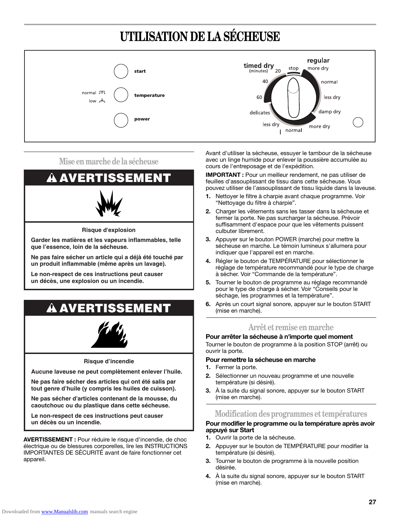# **UTILISATION DE LA SÉCHEUSE**



**Mise en marche de la sécheuse** 



**Risque d'explosion**

**Garder les matières et les vapeurs inflammables, telle que l'essence, loin de la sécheuse.**

**Ne pas faire sécher un article qui a déjà été touché par un produit inflammable (même après un lavage).**

**Le non-respect de ces instructions peut causer un décès, une explosion ou un incendie.**

# **AVERTISSEMENT**



**Risque d'incendie**

**Aucune laveuse ne peut complètement enlever l'huile.**

**Ne pas faire sécher des articles qui ont été salis par tout genre d'huile (y compris les huiles de cuisson).**

**Ne pas sécher d'articles contenant de la mousse, du caoutchouc ou du plastique dans cette sécheuse.**

**Le non-respect de ces instructions peut causer un décès ou un incendie.**

**AVERTISSEMENT :** Pour réduire le risque d'incendie, de choc électrique ou de blessures corporelles, lire les INSTRUCTIONS IMPORTANTES DE SÉCURITÉ avant de faire fonctionner cet appareil.

Avant d'utiliser la sécheuse, essuyer le tambour de la sécheuse avec un linge humide pour enlever la poussière accumulée au cours de l'entreposage et de l'expédition.

**IMPORTANT :** Pour un meilleur rendement, ne pas utiliser de feuilles d'assouplissant de tissu dans cette sécheuse. Vous pouvez utiliser de l'assouplissant de tissu liquide dans la laveuse.

- **1.** Nettoyer le filtre à charpie avant chaque programme. Voir "Nettoyage du filtre à charpie".
- **2.** Charger les vêtements sans les tasser dans la sécheuse et fermer la porte. Ne pas surcharger la sécheuse. Prévoir suffisamment d'espace pour que les vêtements puissent culbuter librement.
- **3.** Appuyer sur le bouton POWER (marche) pour mettre la sécheuse en marche. Le témoin lumineux s'allumera pour indiquer que l'appareil est en marche.
- **4.** Régler le bouton de TEMPÉRATURE pour sélectionner le réglage de température recommandé pour le type de charge à sécher. Voir "Commande de la température".
- **5.** Tourner le bouton de programme au réglage recommandé pour le type de charge à sécher. Voir "Conseils pour le séchage, les programmes et la température".
- **6.** Après un court signal sonore, appuyer sur le bouton START (mise en marche).

### **Arrêt et remise en marche**

**Pour arrêter la sécheuse à n'importe quel moment**

Tourner le bouton de programme à la position STOP (arrêt) ou ouvrir la porte.

#### **Pour remettre la sécheuse en marche**

- **1.** Fermer la porte.
- **2.** Sélectionner un nouveau programme et une nouvelle température (si désiré).
- **3.** À la suite du signal sonore, appuyer sur le bouton START (mise en marche).

### **Modification des programmes et températures**

#### **Pour modifier le programme ou la température après avoir appuyé sur Start**

- **1.** Ouvrir la porte de la sécheuse.
- **2.** Appuyer sur le bouton de TEMPÉRATURE pour modifier la température (si désiré).
- **3.** Tourner le bouton de programme à la nouvelle position désirée.
- **4.** À la suite du signal sonore, appuyer sur le bouton START (mise en marche).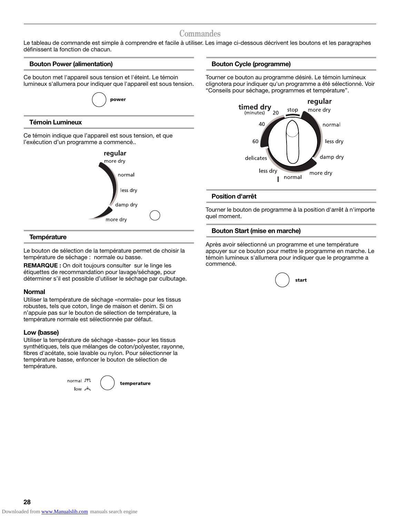### **Commandes**

Le tableau de commande est simple à comprendre et facile à utiliser. Les image ci-dessous décrivent les boutons et les paragraphes définissent la fonction de chacun.

#### **Bouton Power (alimentation)**

Ce bouton met l'appareil sous tension et l'éteint. Le témoin lumineux s'allumera pour indiquer que l'appareil est sous tension.



l'exécution d'un programme a commencé.. regular



#### **Température**

Le bouton de sélection de la température permet de choisir la température de séchage : normale ou basse.

**REMARQUE :** On doit toujours consulter sur le linge les étiquettes de recommandation pour lavage/séchage, pour déterminer s'il est possible d'utiliser le séchage par culbutage.

#### **Normal**

Utiliser la température de séchage «normale» pour les tissus robustes, tels que coton, linge de maison et denim. Si on n'appuie pas sur le bouton de sélection de température, la température normale est sélectionnée par défaut.

#### **Low (basse)**

Utiliser la température de séchage «basse» pour les tissus synthétiques, tels que mélanges de coton/polyester, rayonne, fibres d'acétate, soie lavable ou nylon. Pour sélectionner la température basse, enfoncer le bouton de sélection de température.



temperature

#### **Bouton Cycle (programme)**

Tourner ce bouton au programme désiré. Le témoin lumineux clignotera pour indiquer qu'un programme a été sélectionné. Voir "Conseils pour séchage, programmes et température".



#### **Position d'arrêt**

Tourner le bouton de programme à la position d'arrêt à n'importe quel moment.

#### **Bouton Start (mise en marche)**

Après avoir sélectionné un programme et une température appuyer sur ce bouton pour mettre le programme en marche. Le témoin lumineux s'allumera pour indiquer que le programme a commencé.

|  |  | start |
|--|--|-------|
|--|--|-------|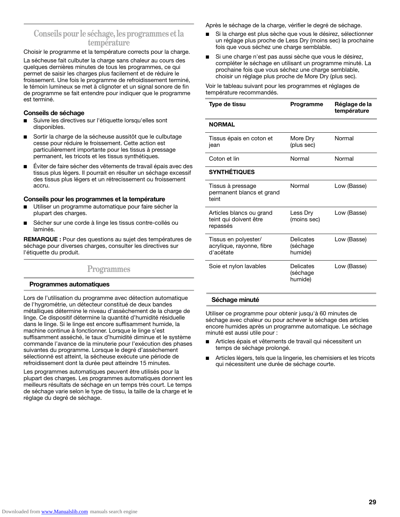### **Conseils pour le séchage, les programmes et la température**

Choisir le programme et la température corrects pour la charge.

La sécheuse fait culbuter la charge sans chaleur au cours des quelques dernières minutes de tous les programmes, ce qui permet de saisir les charges plus facilement et de réduire le froissement. Une fois le programme de refroidissement terminé, le témoin lumineux se met à clignoter et un signal sonore de fin de programme se fait entendre pour indiquer que le programme est terminé.

#### **Conseils de séchage**

- Suivre les directives sur l'étiquette lorsqu'elles sont disponibles.
- Sortir la charge de la sécheuse aussitôt que le culbutage cesse pour réduire le froissement. Cette action est particulièrement importante pour les tissus à pressage permanent, les tricots et les tissus synthétiques.
- Éviter de faire sécher des vêtements de travail épais avec des tissus plus légers. Il pourrait en résulter un séchage excessif des tissus plus légers et un rétrecissement ou froissement accru.

#### **Conseils pour les programmes et la température**

- Utiliser un programme automatique pour faire sécher la plupart des charges.
- Sécher sur une corde à linge les tissus contre-collés ou laminés.

**REMARQUE :** Pour des questions au sujet des températures de séchage pour diverses charges, consulter les directives sur l'étiquette du produit.

### **Programmes**

#### **Programmes automatiques**

Lors de l'utilisation du programme avec détection automatique de l'hygrométrie, un détecteur constitué de deux bandes métalliques détermine le niveau d'assèchement de la charge de linge. Ce dispositif détermine la quantité d'humidité résiduelle dans le linge. Si le linge est encore suffisamment humide, la machine continue à fonctionner. Lorsque le linge s'est suffisamment asséché, le taux d'humidité diminue et le système commande l'avance de la minuterie pour l'exécution des phases suivantes du programme. Lorsque le degré d'assèchement sélectionné est atteint, la sécheuse exécute une période de refroidissement dont la durée peut atteindre 15 minutes.

Les programmes automatiques peuvent être utilisés pour la plupart des charges. Les programmes automatiques donnent les meilleurs résultats de séchage en un temps très court. Le temps de séchage varie selon le type de tissu, la taille de la charge et le réglage du degré de séchage.

Après le séchage de la charge, vérifier le degré de séchage.

- Si la charge est plus sèche que vous le désirez, sélectionner un réglage plus proche de Less Dry (moins sec) la prochaine fois que vous séchez une charge semblable.
- Si une charge n'est pas aussi sèche que vous le désirez, compléter le séchage en utilisant un programme minuté. La prochaine fois que vous séchez une charge semblable, choisir un réglage plus proche de More Dry (plus sec).

Voir le tableau suivant pour les programmes et réglages de température recommandés.

| Type de tissu                                                  | Programme                        | Réglage de la<br>température |
|----------------------------------------------------------------|----------------------------------|------------------------------|
| <b>NORMAL</b>                                                  |                                  |                              |
| Tissus épais en coton et<br>jean                               | More Dry<br>(plus sec)           | Normal                       |
| Coton et lin                                                   | Normal                           | Normal                       |
| <b>SYNTHÉTIQUES</b>                                            |                                  |                              |
| Tissus à pressage<br>permanent blancs et grand<br>teint        | Normal                           | Low (Basse)                  |
| Articles blancs ou grand<br>teint qui doivent être<br>repassés | Less Drv<br>(moins sec)          | Low (Basse)                  |
| Tissus en polyester/<br>acrylique, rayonne, fibre<br>d'acétate | Delicates<br>(séchage<br>humide) | Low (Basse)                  |
| Soie et nylon lavables                                         | Delicates<br>(séchage<br>humide) | Low (Basse)                  |

#### **Séchage minuté**

Utiliser ce programme pour obtenir jusqu'à 60 minutes de séchage avec chaleur ou pour achever le séchage des articles encore humides après un programme automatique. Le séchage minuté est aussi utile pour :

- Articles épais et vêtements de travail qui nécessitent un temps de séchage prolongé.
- Articles légers, tels que la lingerie, les chemisiers et les tricots qui nécessitent une durée de séchage courte.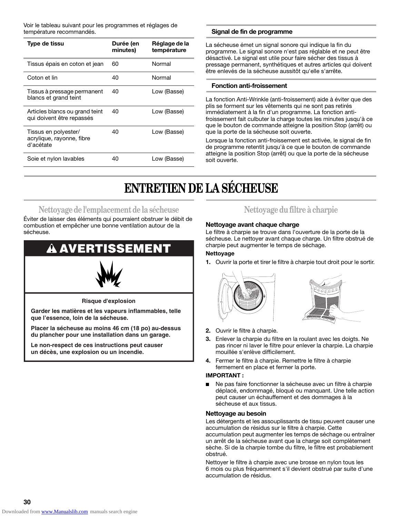Voir le tableau suivant pour les programmes et réglages de

| <b>Type de tissu</b>                                           | Durée (en<br>minutes) | Réglage de la<br>température |
|----------------------------------------------------------------|-----------------------|------------------------------|
| Tissus épais en coton et jean                                  | 60                    | Normal                       |
| Coton et lin                                                   | 40                    | Normal                       |
| Tissus à pressage permanent<br>blancs et grand teint           | 40                    | Low (Basse)                  |
| Articles blancs ou grand teint<br>qui doivent être repassés    | 40                    | Low (Basse)                  |
| Tissus en polyester/<br>acrylique, rayonne, fibre<br>d'acétate | 40                    | Low (Basse)                  |
| Soie et nylon lavables                                         | 40                    | Low (Basse)                  |

#### Signal de fin de programme

La sécheuse émet un signal sonore qui indique la fin du programme. Le signal sonore n'est pas réglable et ne peut être désactivé. Le signal est utile pour faire sécher des tissus à pressage permanent, synthétiques et autres articles qui doivent être enlevés de la sécheuse aussitôt qu'elle s'arrête.

#### **Fonction anti-froissement**

La fonction Anti-Wrinkle (anti-froissement) aide à éviter que des plis se forment sur les vêtements qui ne sont pas retirés immédiatement à la fin d'un programme. La fonction antifroissement fait culbuter la charge toutes les minutes jusqu'à ce que le bouton de commande atteigne la position Stop (arrêt) ou que la porte de la sécheuse soit ouverte.

Lorsque la fonction anti-froissement est activée, le signal de fin de programme retentit jusqu'à ce que le bouton de commande atteigne la position Stop (arrêt) ou que la porte de la sécheuse soit ouverte.

# **ENTRETIEN DE LA SÉCHEUSE**

## **Nettoyage de l'emplacement de la sécheuse**

Éviter de laisser des éléments qui pourraient obstruer le débit de combustion et empêcher une bonne ventilation autour de la sécheuse.

# **AVERTISSEMENT**



**Risque d'explosion**

**Garder les matières et les vapeurs inflammables, telle que l'essence, loin de la sécheuse.**

**Placer la sécheuse au moins 46 cm (18 po) au-dessus du plancher pour une installation dans un garage.**

**Le non-respect de ces instructions peut causer un décès, une explosion ou un incendie.**

## **Nettoyage du filtre à charpie**

#### **Nettoyage avant chaque charge**

Le filtre à charpie se trouve dans l'ouverture de la porte de la sécheuse. Le nettoyer avant chaque charge. Un filtre obstrué de charpie peut augmenter le temps de séchage.

#### **Nettoyage**

**1.** Ouvrir la porte et tirer le filtre à charpie tout droit pour le sortir.





- **2.** Ouvrir le filtre à charpie.
- **3.** Enlever la charpie du filtre en la roulant avec les doigts. Ne pas rincer ni laver le filtre pour enlever la charpie. La charpie mouillée s'enlève difficilement.
- **4.** Fermer le filtre à charpie. Remettre le filtre à charpie fermement en place et fermer la porte.

#### **IMPORTANT :**

Ne pas faire fonctionner la sécheuse avec un filtre à charpie déplacé, endommagé, bloqué ou manquant. Une telle action peut causer un échauffement et des dommages à la sécheuse et aux tissus.

#### **Nettoyage au besoin**

Les détergents et les assouplissants de tissu peuvent causer une accumulation de résidus sur le filtre à charpie. Cette accumulation peut augmenter les temps de séchage ou entraîner un arrêt de la sécheuse avant que la charge soit complètement sèche. Si de la charpie tombe du filtre, le filtre est probablement obstrué.

Nettoyer le filtre à charpie avec une brosse en nylon tous les 6 mois ou plus fréquemment s'il devient obstrué par suite d'une accumulation de résidus.

**30**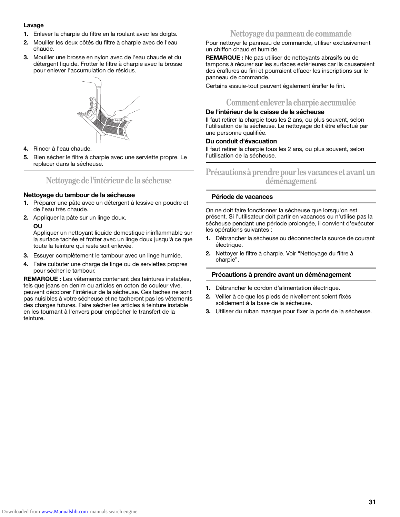#### **Lavage**

- **1.** Enlever la charpie du filtre en la roulant avec les doigts.
- **2.** Mouiller les deux côtés du filtre à charpie avec de l'eau chaude.
- **3.** Mouiller une brosse en nylon avec de l'eau chaude et du détergent liquide. Frotter le filtre à charpie avec la brosse pour enlever l'accumulation de résidus.



- **4.** Rincer à l'eau chaude.
- **5.** Bien sécher le filtre à charpie avec une serviette propre. Le replacer dans la sécheuse.

### **Nettoyage de l'intérieur de la sécheuse**

#### **Nettoyage du tambour de la sécheuse**

- **1.** Préparer une pâte avec un détergent à lessive en poudre et de l'eau très chaude.
- **2.** Appliquer la pâte sur un linge doux.

#### **OU**

Appliquer un nettoyant liquide domestique ininflammable sur la surface tachée et frotter avec un linge doux jusqu'à ce que toute la teinture qui reste soit enlevée.

- **3.** Essuyer complètement le tambour avec un linge humide.
- **4.** Faire culbuter une charge de linge ou de serviettes propres pour sécher le tambour.

**REMARQUE :** Les vêtements contenant des teintures instables, tels que jeans en denim ou articles en coton de couleur vive, peuvent décolorer l'intérieur de la sécheuse. Ces taches ne sont pas nuisibles à votre sécheuse et ne tacheront pas les vêtements des charges futures. Faire sécher les articles à teinture instable en les tournant à l'envers pour empêcher le transfert de la teinture.

## **Nettoyage du panneau de commande**

Pour nettoyer le panneau de commande, utiliser exclusivement un chiffon chaud et humide.

**REMARQUE :** Ne pas utiliser de nettoyants abrasifs ou de tampons à récurer sur les surfaces extérieures car ils causeraient des éraflures au fini et pourraient effacer les inscriptions sur le panneau de commande.

Certains essuie-tout peuvent également érafler le fini.

## **Comment enlever la charpie accumulée**

#### **De l'intérieur de la caisse de la sécheuse**

Il faut retirer la charpie tous les 2 ans, ou plus souvent, selon l'utilisation de la sécheuse. Le nettoyage doit être effectué par une personne qualifiée.

#### **Du conduit d'évacuation**

Il faut retirer la charpie tous les 2 ans, ou plus souvent, selon l'utilisation de la sécheuse.

### **Précautions à prendre pour les vacances et avant un déménagement**

#### **Période de vacances**

On ne doit faire fonctionner la sécheuse que lorsqu'on est présent. Si l'utilisateur doit partir en vacances ou n'utilise pas la sécheuse pendant une période prolongée, il convient d'exécuter les opérations suivantes :

- **1.** Débrancher la sécheuse ou déconnecter la source de courant électrique.
- **2.** Nettoyer le filtre à charpie. Voir "Nettoyage du filtre à charpie".

#### **Précautions à prendre avant un déménagement**

- **1.** Débrancher le cordon d'alimentation électrique.
- **2.** Veiller à ce que les pieds de nivellement soient fixés solidement à la base de la sécheuse.
- **3.** Utiliser du ruban masque pour fixer la porte de la sécheuse.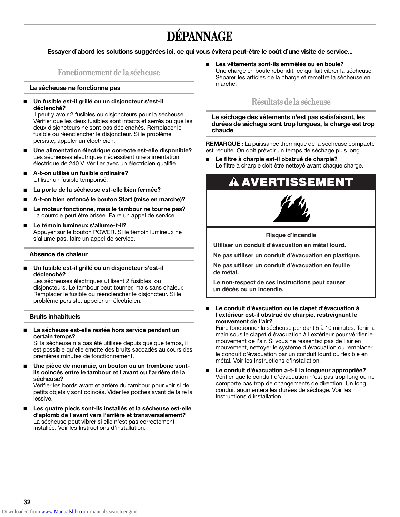# **DÉPANNAGE**

**Essayer d'abord les solutions suggérées ici, ce qui vous évitera peut-être le coût d'une visite de service...**

### **Fonctionnement de la sécheuse**

#### **La sécheuse ne fonctionne pas**

Un fusible est-il grillé ou un disjoncteur s'est-il **déclenché?**

Il peut y avoir 2 fusibles ou disjoncteurs pour la sécheuse. Vérifier que les deux fusibles sont intacts et serrés ou que les deux disjoncteurs ne sont pas déclenchés. Remplacer le fusible ou réenclencher le disjoncteur. Si le problème persiste, appeler un électricien.

- Une alimentation électrique correcte est-elle disponible? Les sécheuses électriques nécessitent une alimentation électrique de 240 V. Vérifier avec un électricien qualifié.
- **A-t-on utilisé un fusible ordinaire?** Utiliser un fusible temporisé.
- La porte de la sécheuse est-elle bien fermée?
- **A-t-on bien enfoncé le bouton Start (mise en marche)?**
- Le moteur fonctionne, mais le tambour ne tourne pas? La courroie peut être brisée. Faire un appel de service.
- Le témoin lumineux s'allume-t-il? Appuyer sur le bouton POWER. Si le témoin lumineux ne s'allume pas, faire un appel de service.

#### **Absence de chaleur**

Un fusible est-il grillé ou un disjoncteur s'est-il **déclenché?**

Les sécheuses électriques utilisent 2 fusibles ou disjoncteurs. Le tambour peut tourner, mais sans chaleur. Remplacer le fusible ou réenclencher le disjoncteur. Si le problème persiste, appeler un électricien.

#### **Bruits inhabituels**

La sécheuse est-elle restée hors service pendant un **certain temps?**

Si la sécheuse n'a pas été utilisée depuis quelque temps, il est possible qu'elle émette des bruits saccadés au cours des premières minutes de fonctionnement.

Une pièce de monnaie, un bouton ou un trombone sont**ils coincés entre le tambour et l'avant ou l'arrière de la sécheuse?**

Vérifier les bords avant et arrière du tambour pour voir si de petits objets y sont coincés. Vider les poches avant de faire la lessive.

Les quatre pieds sont-ils installés et la sécheuse est-elle **d'aplomb de l'avant vers l'arrière et transversalement?** La sécheuse peut vibrer si elle n'est pas correctement installée. Voir les Instructions d'installation.

■ **Les vêtements sont-ils emmêlés ou en boule?** Une charge en boule rebondit, ce qui fait vibrer la sécheuse. Séparer les articles de la charge et remettre la sécheuse en marche.

### **Résultats de la sécheuse**

**Le séchage des vêtements n'est pas satisfaisant, les durées de séchage sont trop longues, la charge est trop chaude**

**REMARQUE :** La puissance thermique de la sécheuse compacte est réduite. On doit prévoir un temps de séchage plus long.

■ **Le filtre à charpie est-il obstrué de charpie?** Le filtre à charpie doit être nettoyé avant chaque charge.

# $\bf A$  AVERTISSEMENT



**Risque d'incendie**

**Utiliser un conduit d'évacuation en métal lourd.**

**Ne pas utiliser un conduit d'évacuation en plastique.**

**Ne pas utiliser un conduit d'évacuation en feuille de métal.**

**Le non-respect de ces instructions peut causer un décès ou un incendie.**

Le conduit d'évacuation ou le clapet d'évacuation à **l'extérieur est-il obstrué de charpie, restreignant le mouvement de l'air?**

Faire fonctionner la sécheuse pendant 5 à 10 minutes. Tenir la main sous le clapet d'évacuation à l'extérieur pour vérifier le mouvement de l'air. Si vous ne ressentez pas de l'air en mouvement, nettoyer le système d'évacuation ou remplacer le conduit d'évacuation par un conduit lourd ou flexible en métal. Voir les Instructions d'installation.

Le conduit d'évacuation a-t-il la longueur appropriée? Vérifier que le conduit d'évacuation n'est pas trop long ou ne comporte pas trop de changements de direction. Un long conduit augmentera les durées de séchage. Voir les Instructions d'installation.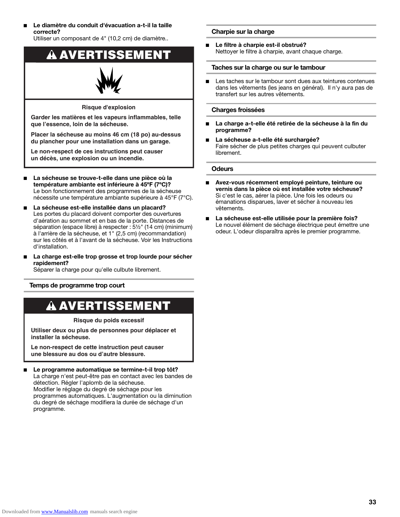Le diamètre du conduit d'évacuation a-t-il la taille **correcte?**

Utiliser un composant de 4" (10,2 cm) de diamètre..



**Le non-respect de ces instructions peut causer un décès, une explosion ou un incendie.**

- La sécheuse se trouve-t-elle dans une pièce où la **température ambiante est inférieure à 45ºF (7ºC)?** Le bon fonctionnement des programmes de la sécheuse nécessite une température ambiante supérieure à 45°F (7°C).
- La sécheuse est-elle installée dans un placard? Les portes du placard doivent comporter des ouvertures d'aération au sommet et en bas de la porte. Distances de séparation (espace libre) à respecter : 5½" (14 cm) (minimum) à l'arrière de la sécheuse, et 1" (2,5 cm) (recommandation) sur les côtés et à l'avant de la sécheuse. Voir les Instructions d'installation.
- La charge est-elle trop grosse et trop lourde pour sécher **rapidement?**

Séparer la charge pour qu'elle culbute librement.

#### **Temps de programme trop court**

# **A AVERTISSEMENT**

**Risque du poids excessif**

**Utiliser deux ou plus de personnes pour déplacer et installer la sécheuse.**

**Le non-respect de cette instruction peut causer une blessure au dos ou d'autre blessure.**

#### Le programme automatique se termine-t-il trop tôt? La charge n'est peut-être pas en contact avec les bandes de détection. Régler l'aplomb de la sécheuse. Modifier le réglage du degré de séchage pour les programmes automatiques. L'augmentation ou la diminution du degré de séchage modifiera la durée de séchage d'un programme.

#### **Charpie sur la charge**

■ **Le filtre à charpie est-il obstrué?** Nettoyer le filtre à charpie, avant chaque charge.

#### **Taches sur la charge ou sur le tambour**

■ Les taches sur le tambour sont dues aux teintures contenues dans les vêtements (les jeans en général). Il n'y aura pas de transfert sur les autres vêtements.

#### **Charges froissées**

- La charge a-t-elle été retirée de la sécheuse à la fin du **programme?**
- La sécheuse a-t-elle été surchargée? Faire sécher de plus petites charges qui peuvent culbuter librement.

#### **Odeurs**

- **Avez-vous récemment employé peinture, teinture ou vernis dans la pièce où est installée votre sécheuse?** Si c'est le cas, aérer la pièce. Une fois les odeurs ou émanations disparues, laver et sécher à nouveau les vêtements.
- La sécheuse est-elle utilisée pour la première fois? Le nouvel élément de séchage électrique peut émettre une odeur. L'odeur disparaîtra après le premier programme.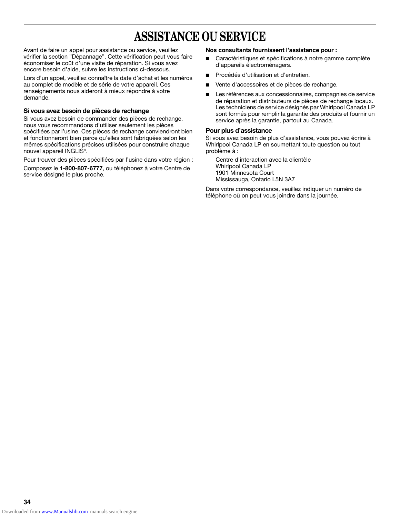# **ASSISTANCE OU SERVICE**

Avant de faire un appel pour assistance ou service, veuillez vérifier la section "Dépannage". Cette vérification peut vous faire économiser le coût d'une visite de réparation. Si vous avez encore besoin d'aide, suivre les instructions ci-dessous.

Lors d'un appel, veuillez connaître la date d'achat et les numéros au complet de modèle et de série de votre appareil. Ces renseignements nous aideront à mieux répondre à votre demande.

#### **Si vous avez besoin de pièces de rechange**

Si vous avez besoin de commander des pièces de rechange, nous vous recommandons d'utiliser seulement les pièces spécifiées par l'usine. Ces pièces de rechange conviendront bien et fonctionneront bien parce qu'elles sont fabriquées selon les mêmes spécifications précises utilisées pour construire chaque nouvel appareil INGLIS®.

Pour trouver des pièces spécifiées par l'usine dans votre région :

Composez le **1-800-807-6777**, ou téléphonez à votre Centre de service désigné le plus proche.

#### **Nos consultants fournissent l'assistance pour :**

- Caractéristiques et spécifications à notre gamme complète d'appareils électroménagers.
- Procédés d'utilisation et d'entretien.
- Vente d'accessoires et de pièces de rechange.
- Les références aux concessionnaires, compagnies de service de réparation et distributeurs de pièces de rechange locaux. Les techniciens de service désignés par Whirlpool Canada LP sont formés pour remplir la garantie des produits et fournir un service après la garantie, partout au Canada.

#### **Pour plus d'assistance**

Si vous avez besoin de plus d'assistance, vous pouvez écrire à Whirlpool Canada LP en soumettant toute question ou tout problème à :

Centre d'interaction avec la clientèle Whirlpool Canada LP 1901 Minnesota Court Mississauga, Ontario L5N 3A7

Dans votre correspondance, veuillez indiquer un numéro de téléphone où on peut vous joindre dans la journée.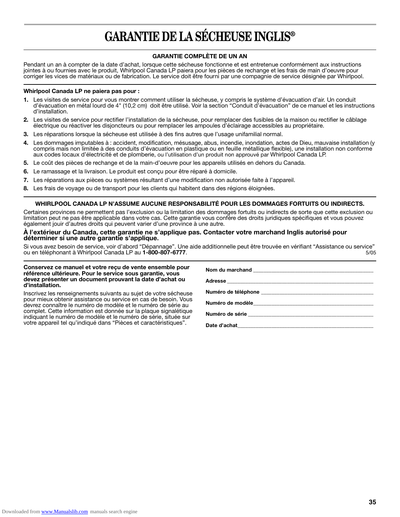# **GARANTIE DE LA SÉCHEUSE INGLIS®**

#### **GARANTIE COMPLÈTE DE UN AN**

Pendant un an à compter de la date d'achat, lorsque cette sécheuse fonctionne et est entretenue conformément aux instructions jointes à ou fournies avec le produit, Whirlpool Canada LP paiera pour les pièces de rechange et les frais de main d'oeuvre pour corriger les vices de matériaux ou de fabrication. Le service doit être fourni par une compagnie de service désignée par Whirlpool.

#### **Whirlpool Canada LP ne paiera pas pour :**

- **1.** Les visites de service pour vous montrer comment utiliser la sécheuse, y compris le système d'évacuation d'air. Un conduit d'évacuation en métal lourd de 4" (10,2 cm) doit être utilisé. Voir la section "Conduit d'évacuation" de ce manuel et les instructions d'installation.
- **2.** Les visites de service pour rectifier l'installation de la sécheuse, pour remplacer des fusibles de la maison ou rectifier le câblage électrique ou réactiver les disjoncteurs ou pour remplacer les ampoules d'éclairage accessibles au propriétaire.
- **3.** Les réparations lorsque la sécheuse est utilisée à des fins autres que l'usage unifamilial normal.
- **4.** Les dommages imputables à : accident, modification, mésusage, abus, incendie, inondation, actes de Dieu, mauvaise installation (y compris mais non limitée à des conduits d'évacuation en plastique ou en feuille métallique flexible), une installation non conforme aux codes locaux d'électricité et de plomberie, ou l'utilisation d'un produit non approuvé par Whirlpool Canada LP.
- **5.** Le coût des pièces de rechange et de la main-d'oeuvre pour les appareils utilisés en dehors du Canada.
- **6.** Le ramassage et la livraison. Le produit est conçu pour être réparé à domicile.
- **7.** Les réparations aux pièces ou systèmes résultant d'une modification non autorisée faite à l'appareil.
- **8.** Les frais de voyage ou de transport pour les clients qui habitent dans des régions éloignées.

#### **WHIRLPOOL CANADA LP N'ASSUME AUCUNE RESPONSABILITÉ POUR LES DOMMAGES FORTUITS OU INDIRECTS.**

Certaines provinces ne permettent pas l'exclusion ou la limitation des dommages fortuits ou indirects de sorte que cette exclusion ou limitation peut ne pas être applicable dans votre cas. Cette garantie vous confère des droits juridiques spécifiques et vous pouvez également jouir d'autres droits qui peuvent varier d'une province à une autre.

#### **À l'extérieur du Canada, cette garantie ne s'applique pas. Contacter votre marchand Inglis autorisé pour déterminer si une autre garantie s'applique.**

Si vous avez besoin de service, voir d'abord "Dépannage". Une aide additionnelle peut être trouvée en vérifiant "Assistance ou service" ou retrice de service de ten téléphonant à Whirlpool Canada LP au **1-800-807-6777**.

#### **Conservez ce manuel et votre reçu de vente ensemble pour référence ultérieure. Pour le service sous garantie, vous devez présenter un document prouvant la date d'achat ou d'installation.**

Inscrivez les renseignements suivants au sujet de votre sécheuse pour mieux obtenir assistance ou service en cas de besoin. Vous devrez connaître le numéro de modèle et le numéro de série au complet. Cette information est donnée sur la plaque signalétique indiquant le numéro de modèle et le numéro de série, située sur votre appareil tel qu'indiqué dans "Pièces et caractéristiques".